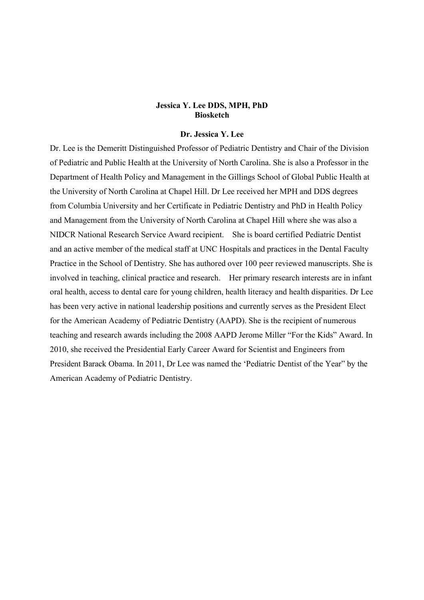# Jessica Y. Lee DDS, MPH, PhD **Biosketch**

#### Dr. Jessica Y. Lee

Dr. Lee is the Demeritt Distinguished Professor of Pediatric Dentistry and Chair of the Division of Pediatric and Public Health at the University of North Carolina. She is also a Professor in the Department of Health Policy and Management in the Gillings School of Global Public Health at the University of North Carolina at Chapel Hill. Dr Lee received her MPH and DDS degrees from Columbia University and her Certificate in Pediatric Dentistry and PhD in Health Policy and Management from the University of North Carolina at Chapel Hill where she was also a NIDCR National Research Service Award recipient. She is board certified Pediatric Dentist and an active member of the medical staff at UNC Hospitals and practices in the Dental Faculty Practice in the School of Dentistry. She has authored over 100 peer reviewed manuscripts. She is involved in teaching, clinical practice and research. Her primary research interests are in infant oral health, access to dental care for young children, health literacy and health disparities. Dr Lee has been very active in national leadership positions and currently serves as the President Elect for the American Academy of Pediatric Dentistry (AAPD). She is the recipient of numerous teaching and research awards including the 2008 AAPD Jerome Miller "For the Kids" Award. In 2010, she received the Presidential Early Career Award for Scientist and Engineers from President Barack Obama. In 2011, Dr Lee was named the 'Pediatric Dentist of the Year" by the American Academy of Pediatric Dentistry.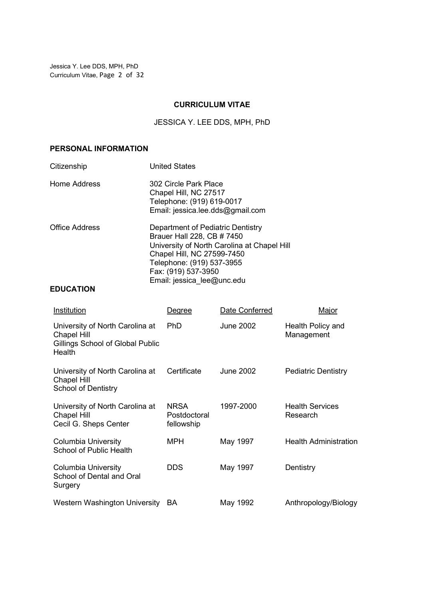Jessica Y. Lee DDS, MPH, PhD Curriculum Vitae, Page 2 of 32

## CURRICULUM VITAE

JESSICA Y. LEE DDS, MPH, PhD

# PERSONAL INFORMATION

| Citizenship           | <b>United States</b>                                                                                                                                                                                                           |
|-----------------------|--------------------------------------------------------------------------------------------------------------------------------------------------------------------------------------------------------------------------------|
| Home Address          | 302 Circle Park Place<br>Chapel Hill, NC 27517<br>Telephone: (919) 619-0017<br>Email: jessica.lee.dds@gmail.com                                                                                                                |
| <b>Office Address</b> | Department of Pediatric Dentistry<br>Brauer Hall 228, CB # 7450<br>University of North Carolina at Chapel Hill<br>Chapel Hill, NC 27599-7450<br>Telephone: (919) 537-3955<br>Fax: (919) 537-3950<br>Email: jessica lee@unc.edu |

# EDUCATION

| Institution                                                                                         | Degree                                    | Date Conferred   | Major                              |
|-----------------------------------------------------------------------------------------------------|-------------------------------------------|------------------|------------------------------------|
| University of North Carolina at<br><b>Chapel Hill</b><br>Gillings School of Global Public<br>Health | <b>PhD</b>                                | <b>June 2002</b> | Health Policy and<br>Management    |
| University of North Carolina at<br>Chapel Hill<br><b>School of Dentistry</b>                        | Certificate                               | <b>June 2002</b> | <b>Pediatric Dentistry</b>         |
| University of North Carolina at<br>Chapel Hill<br>Cecil G. Sheps Center                             | <b>NRSA</b><br>Postdoctoral<br>fellowship | 1997-2000        | <b>Health Services</b><br>Research |
| <b>Columbia University</b><br>School of Public Health                                               | <b>MPH</b>                                | May 1997         | <b>Health Administration</b>       |
| Columbia University<br>School of Dental and Oral<br>Surgery                                         | <b>DDS</b>                                | May 1997         | Dentistry                          |
| Western Washington University                                                                       | BA.                                       | May 1992         | Anthropology/Biology               |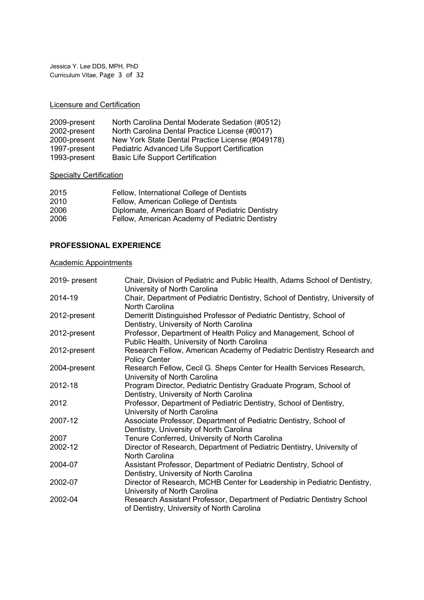Jessica Y. Lee DDS, MPH, PhD Curriculum Vitae, Page 3 of 32

# Licensure and Certification

| 2009-present | North Carolina Dental Moderate Sedation (#0512)  |
|--------------|--------------------------------------------------|
| 2002-present | North Carolina Dental Practice License (#0017)   |
| 2000-present | New York State Dental Practice License (#049178) |
| 1997-present | Pediatric Advanced Life Support Certification    |
| 1993-present | <b>Basic Life Support Certification</b>          |

### **Specialty Certification**

| 2015 | Fellow, International College of Dentists        |
|------|--------------------------------------------------|
| 2010 | Fellow, American College of Dentists             |
| 2006 | Diplomate, American Board of Pediatric Dentistry |
| 2006 | Fellow, American Academy of Pediatric Dentistry  |
|      |                                                  |

# PROFESSIONAL EXPERIENCE

### Academic Appointments

| 2019- present | Chair, Division of Pediatric and Public Health, Adams School of Dentistry,<br>University of North Carolina           |
|---------------|----------------------------------------------------------------------------------------------------------------------|
| 2014-19       | Chair, Department of Pediatric Dentistry, School of Dentistry, University of<br>North Carolina                       |
| 2012-present  | Demeritt Distinguished Professor of Pediatric Dentistry, School of<br>Dentistry, University of North Carolina        |
| 2012-present  | Professor, Department of Health Policy and Management, School of<br>Public Health, University of North Carolina      |
| 2012-present  | Research Fellow, American Academy of Pediatric Dentistry Research and<br><b>Policy Center</b>                        |
| 2004-present  | Research Fellow, Cecil G. Sheps Center for Health Services Research,<br>University of North Carolina                 |
| 2012-18       | Program Director, Pediatric Dentistry Graduate Program, School of<br>Dentistry, University of North Carolina         |
| 2012          | Professor, Department of Pediatric Dentistry, School of Dentistry,<br>University of North Carolina                   |
| 2007-12       | Associate Professor, Department of Pediatric Dentistry, School of<br>Dentistry, University of North Carolina         |
| 2007          | Tenure Conferred, University of North Carolina                                                                       |
| 2002-12       | Director of Research, Department of Pediatric Dentistry, University of<br>North Carolina                             |
| 2004-07       | Assistant Professor, Department of Pediatric Dentistry, School of<br>Dentistry, University of North Carolina         |
| 2002-07       | Director of Research, MCHB Center for Leadership in Pediatric Dentistry,<br>University of North Carolina             |
| 2002-04       | Research Assistant Professor, Department of Pediatric Dentistry School<br>of Dentistry, University of North Carolina |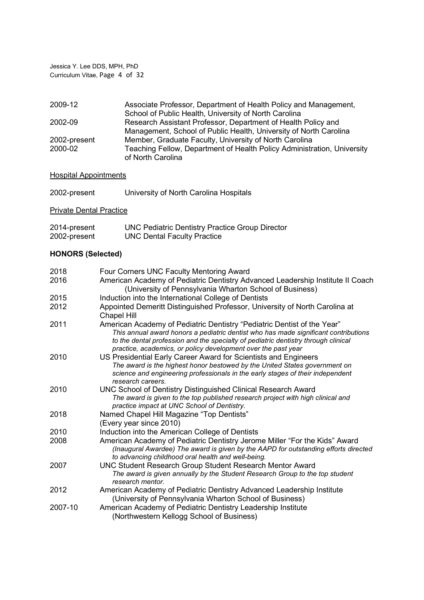Jessica Y. Lee DDS, MPH, PhD Curriculum Vitae, Page 4 of 32

| 2009-12      | Associate Professor, Department of Health Policy and Management,        |
|--------------|-------------------------------------------------------------------------|
|              | School of Public Health, University of North Carolina                   |
| 2002-09      | Research Assistant Professor, Department of Health Policy and           |
|              | Management, School of Public Health, University of North Carolina       |
| 2002-present | Member, Graduate Faculty, University of North Carolina                  |
| 2000-02      | Teaching Fellow, Department of Health Policy Administration, University |
|              | of North Carolina                                                       |

### **Hospital Appointments**

| 2002-present | University of North Carolina Hospitals |
|--------------|----------------------------------------|
|              |                                        |

**Private Dental Practice** 

| 2014-present | <b>UNC Pediatric Dentistry Practice Group Director</b> |
|--------------|--------------------------------------------------------|
| 2002-present | <b>UNC Dental Faculty Practice</b>                     |

# HONORS (Selected)

| 2018    | Four Corners UNC Faculty Mentoring Award                                                                                                                                                                                                                                                                              |
|---------|-----------------------------------------------------------------------------------------------------------------------------------------------------------------------------------------------------------------------------------------------------------------------------------------------------------------------|
| 2016    | American Academy of Pediatric Dentistry Advanced Leadership Institute II Coach<br>(University of Pennsylvania Wharton School of Business)                                                                                                                                                                             |
| 2015    | Induction into the International College of Dentists                                                                                                                                                                                                                                                                  |
| 2012    | Appointed Demeritt Distinguished Professor, University of North Carolina at<br><b>Chapel Hill</b>                                                                                                                                                                                                                     |
| 2011    | American Academy of Pediatric Dentistry "Pediatric Dentist of the Year"<br>This annual award honors a pediatric dentist who has made significant contributions<br>to the dental profession and the specialty of pediatric dentistry through clinical<br>practice, academics, or policy development over the past year |
| 2010    | US Presidential Early Career Award for Scientists and Engineers<br>The award is the highest honor bestowed by the United States government on<br>science and engineering professionals in the early stages of their independent<br>research careers.                                                                  |
| 2010    | UNC School of Dentistry Distinguished Clinical Research Award<br>The award is given to the top published research project with high clinical and<br>practice impact at UNC School of Dentistry.                                                                                                                       |
| 2018    | Named Chapel Hill Magazine "Top Dentists"<br>(Every year since 2010)                                                                                                                                                                                                                                                  |
| 2010    | Induction into the American College of Dentists                                                                                                                                                                                                                                                                       |
| 2008    | American Academy of Pediatric Dentistry Jerome Miller "For the Kids" Award<br>(Inaugural Awardee) The award is given by the AAPD for outstanding efforts directed<br>to advancing childhood oral health and well-being.                                                                                               |
| 2007    | UNC Student Research Group Student Research Mentor Award<br>The award is given annually by the Student Research Group to the top student<br>research mentor.                                                                                                                                                          |
| 2012    | American Academy of Pediatric Dentistry Advanced Leadership Institute<br>(University of Pennsylvania Wharton School of Business)                                                                                                                                                                                      |
| 2007-10 | American Academy of Pediatric Dentistry Leadership Institute<br>(Northwestern Kellogg School of Business)                                                                                                                                                                                                             |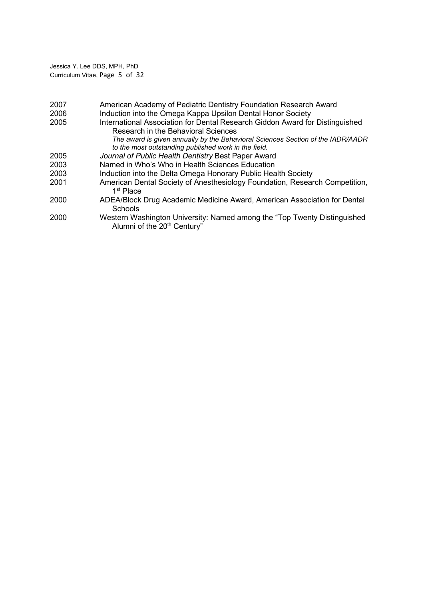Jessica Y. Lee DDS, MPH, PhD Curriculum Vitae, Page 5 of 32

| 2007 | American Academy of Pediatric Dentistry Foundation Research Award                                                                       |
|------|-----------------------------------------------------------------------------------------------------------------------------------------|
| 2006 | Induction into the Omega Kappa Upsilon Dental Honor Society                                                                             |
| 2005 | International Association for Dental Research Giddon Award for Distinguished<br>Research in the Behavioral Sciences                     |
|      | The award is given annually by the Behavioral Sciences Section of the IADR/AADR<br>to the most outstanding published work in the field. |
| 2005 | Journal of Public Health Dentistry Best Paper Award                                                                                     |
| 2003 | Named in Who's Who in Health Sciences Education                                                                                         |
| 2003 | Induction into the Delta Omega Honorary Public Health Society                                                                           |
| 2001 | American Dental Society of Anesthesiology Foundation, Research Competition,<br>1 <sup>st</sup> Place                                    |
| 2000 | ADEA/Block Drug Academic Medicine Award, American Association for Dental<br>Schools                                                     |
| 2000 | Western Washington University: Named among the "Top Twenty Distinguished<br>Alumni of the 20 <sup>th</sup> Century"                     |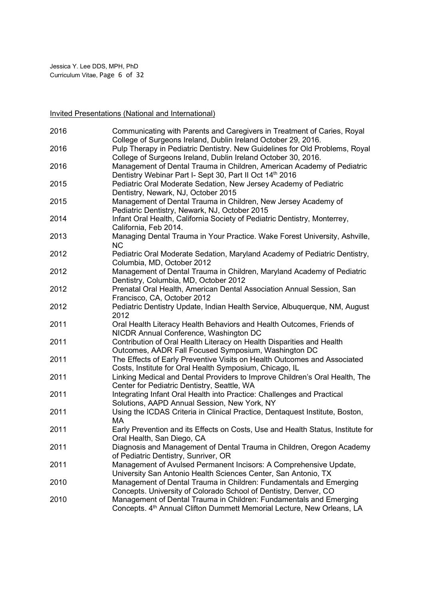Invited Presentations (National and International)

| 2016 | Communicating with Parents and Caregivers in Treatment of Caries, Royal<br>College of Surgeons Ireland, Dublin Ireland October 29, 2016.     |
|------|----------------------------------------------------------------------------------------------------------------------------------------------|
| 2016 | Pulp Therapy in Pediatric Dentistry. New Guidelines for Old Problems, Royal<br>College of Surgeons Ireland, Dublin Ireland October 30, 2016. |
| 2016 | Management of Dental Trauma in Children, American Academy of Pediatric<br>Dentistry Webinar Part I- Sept 30, Part II Oct 14th 2016           |
| 2015 | Pediatric Oral Moderate Sedation, New Jersey Academy of Pediatric<br>Dentistry, Newark, NJ, October 2015                                     |
| 2015 | Management of Dental Trauma in Children, New Jersey Academy of<br>Pediatric Dentistry, Newark, NJ, October 2015                              |
| 2014 | Infant Oral Health, California Society of Pediatric Dentistry, Monterrey,<br>California, Feb 2014.                                           |
| 2013 | Managing Dental Trauma in Your Practice. Wake Forest University, Ashville,<br><b>NC</b>                                                      |
| 2012 | Pediatric Oral Moderate Sedation, Maryland Academy of Pediatric Dentistry,<br>Columbia, MD, October 2012                                     |
| 2012 | Management of Dental Trauma in Children, Maryland Academy of Pediatric<br>Dentistry, Columbia, MD, October 2012                              |
| 2012 | Prenatal Oral Health, American Dental Association Annual Session, San<br>Francisco, CA, October 2012                                         |
| 2012 | Pediatric Dentistry Update, Indian Health Service, Albuquerque, NM, August<br>2012                                                           |
| 2011 | Oral Health Literacy Health Behaviors and Health Outcomes, Friends of<br>NICDR Annual Conference, Washington DC                              |
| 2011 | Contribution of Oral Health Literacy on Health Disparities and Health<br>Outcomes, AADR Fall Focused Symposium, Washington DC                |
| 2011 | The Effects of Early Preventive Visits on Health Outcomes and Associated<br>Costs, Institute for Oral Health Symposium, Chicago, IL          |
| 2011 | Linking Medical and Dental Providers to Improve Children's Oral Health, The<br>Center for Pediatric Dentistry, Seattle, WA                   |
| 2011 | Integrating Infant Oral Health into Practice: Challenges and Practical<br>Solutions, AAPD Annual Session, New York, NY                       |
| 2011 | Using the ICDAS Criteria in Clinical Practice, Dentaquest Institute, Boston,<br>MA.                                                          |
| 2011 | Early Prevention and its Effects on Costs, Use and Health Status, Institute for<br>Oral Health, San Diego, CA                                |
| 2011 | Diagnosis and Management of Dental Trauma in Children, Oregon Academy<br>of Pediatric Dentistry, Sunriver, OR                                |
| 2011 | Management of Avulsed Permanent Incisors: A Comprehensive Update,<br>University San Antonio Health Sciences Center, San Antonio, TX          |
| 2010 | Management of Dental Trauma in Children: Fundamentals and Emerging<br>Concepts. University of Colorado School of Dentistry, Denver, CO       |
| 2010 | Management of Dental Trauma in Children: Fundamentals and Emerging<br>Concepts. 4th Annual Clifton Dummett Memorial Lecture, New Orleans, LA |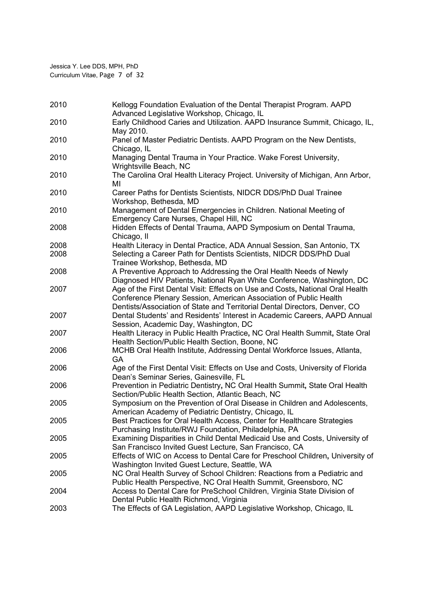| 2010 | Kellogg Foundation Evaluation of the Dental Therapist Program. AAPD                                                                                                                                                              |
|------|----------------------------------------------------------------------------------------------------------------------------------------------------------------------------------------------------------------------------------|
| 2010 | Advanced Legislative Workshop, Chicago, IL<br>Early Childhood Caries and Utilization. AAPD Insurance Summit, Chicago, IL,                                                                                                        |
|      | May 2010.                                                                                                                                                                                                                        |
| 2010 | Panel of Master Pediatric Dentists. AAPD Program on the New Dentists,<br>Chicago, IL                                                                                                                                             |
| 2010 | Managing Dental Trauma in Your Practice. Wake Forest University,<br>Wrightsville Beach, NC                                                                                                                                       |
| 2010 | The Carolina Oral Health Literacy Project. University of Michigan, Ann Arbor,<br>ΜI                                                                                                                                              |
| 2010 | Career Paths for Dentists Scientists, NIDCR DDS/PhD Dual Trainee<br>Workshop, Bethesda, MD                                                                                                                                       |
| 2010 | Management of Dental Emergencies in Children. National Meeting of<br>Emergency Care Nurses, Chapel Hill, NC                                                                                                                      |
| 2008 | Hidden Effects of Dental Trauma, AAPD Symposium on Dental Trauma,<br>Chicago, II                                                                                                                                                 |
| 2008 | Health Literacy in Dental Practice, ADA Annual Session, San Antonio, TX                                                                                                                                                          |
| 2008 | Selecting a Career Path for Dentists Scientists, NIDCR DDS/PhD Dual<br>Trainee Workshop, Bethesda, MD                                                                                                                            |
| 2008 | A Preventive Approach to Addressing the Oral Health Needs of Newly<br>Diagnosed HIV Patients, National Ryan White Conference, Washington, DC                                                                                     |
| 2007 | Age of the First Dental Visit: Effects on Use and Costs, National Oral Health<br>Conference Plenary Session, American Association of Public Health<br>Dentists/Association of State and Territorial Dental Directors, Denver, CO |
| 2007 | Dental Students' and Residents' Interest in Academic Careers, AAPD Annual<br>Session, Academic Day, Washington, DC                                                                                                               |
| 2007 | Health Literacy in Public Health Practice, NC Oral Health Summit, State Oral<br>Health Section/Public Health Section, Boone, NC                                                                                                  |
| 2006 | MCHB Oral Health Institute, Addressing Dental Workforce Issues, Atlanta,<br>GA                                                                                                                                                   |
| 2006 | Age of the First Dental Visit: Effects on Use and Costs, University of Florida<br>Dean's Seminar Series, Gainesville, FL                                                                                                         |
| 2006 | Prevention in Pediatric Dentistry, NC Oral Health Summit, State Oral Health<br>Section/Public Health Section, Atlantic Beach, NC                                                                                                 |
| 2005 | Symposium on the Prevention of Oral Disease in Children and Adolescents,<br>American Academy of Pediatric Dentistry, Chicago, IL                                                                                                 |
| 2005 | Best Practices for Oral Health Access, Center for Healthcare Strategies<br>Purchasing Institute/RWJ Foundation, Philadelphia, PA                                                                                                 |
| 2005 | Examining Disparities in Child Dental Medicaid Use and Costs, University of<br>San Francisco Invited Guest Lecture, San Francisco, CA                                                                                            |
| 2005 | Effects of WIC on Access to Dental Care for Preschool Children, University of<br>Washington Invited Guest Lecture, Seattle, WA                                                                                                   |
| 2005 | NC Oral Health Survey of School Children: Reactions from a Pediatric and<br>Public Health Perspective, NC Oral Health Summit, Greensboro, NC                                                                                     |
| 2004 | Access to Dental Care for PreSchool Children, Virginia State Division of<br>Dental Public Health Richmond, Virginia                                                                                                              |
| 2003 | The Effects of GA Legislation, AAPD Legislative Workshop, Chicago, IL                                                                                                                                                            |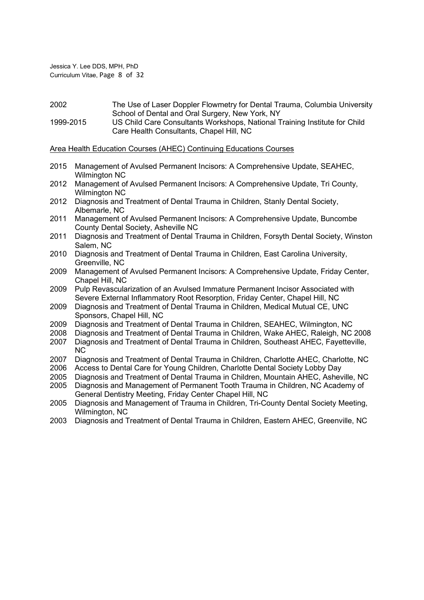Jessica Y. Lee DDS, MPH, PhD Curriculum Vitae, Page 8 of 32

2002 The Use of Laser Doppler Flowmetry for Dental Trauma, Columbia University School of Dental and Oral Surgery, New York, NY

1999-2015 US Child Care Consultants Workshops, National Training Institute for Child Care Health Consultants, Chapel Hill, NC

### Area Health Education Courses (AHEC) Continuing Educations Courses

- 2015 Management of Avulsed Permanent Incisors: A Comprehensive Update, SEAHEC, Wilmington NC
- 2012 Management of Avulsed Permanent Incisors: A Comprehensive Update, Tri County, Wilmington NC
- 2012 Diagnosis and Treatment of Dental Trauma in Children, Stanly Dental Society, Albemarle, NC
- 2011 Management of Avulsed Permanent Incisors: A Comprehensive Update, Buncombe County Dental Society, Asheville NC
- 2011 Diagnosis and Treatment of Dental Trauma in Children, Forsyth Dental Society, Winston Salem, NC
- 2010 Diagnosis and Treatment of Dental Trauma in Children, East Carolina University, Greenville, NC
- 2009 Management of Avulsed Permanent Incisors: A Comprehensive Update, Friday Center, Chapel Hill, NC
- 2009 Pulp Revascularization of an Avulsed Immature Permanent Incisor Associated with Severe External Inflammatory Root Resorption, Friday Center, Chapel Hill, NC
- 2009 Diagnosis and Treatment of Dental Trauma in Children, Medical Mutual CE, UNC Sponsors, Chapel Hill, NC
- 2009 Diagnosis and Treatment of Dental Trauma in Children, SEAHEC, Wilmington, NC
- 2008 Diagnosis and Treatment of Dental Trauma in Children, Wake AHEC, Raleigh, NC 2008
- 2007 Diagnosis and Treatment of Dental Trauma in Children, Southeast AHEC, Fayetteville, NC
- 2007 Diagnosis and Treatment of Dental Trauma in Children, Charlotte AHEC, Charlotte, NC
- 2006 Access to Dental Care for Young Children, Charlotte Dental Society Lobby Day
- 2005 Diagnosis and Treatment of Dental Trauma in Children, Mountain AHEC, Asheville, NC
- 2005 Diagnosis and Management of Permanent Tooth Trauma in Children, NC Academy of General Dentistry Meeting, Friday Center Chapel Hill, NC
- 2005 Diagnosis and Management of Trauma in Children, Tri-County Dental Society Meeting, Wilmington, NC
- 2003 Diagnosis and Treatment of Dental Trauma in Children, Eastern AHEC, Greenville, NC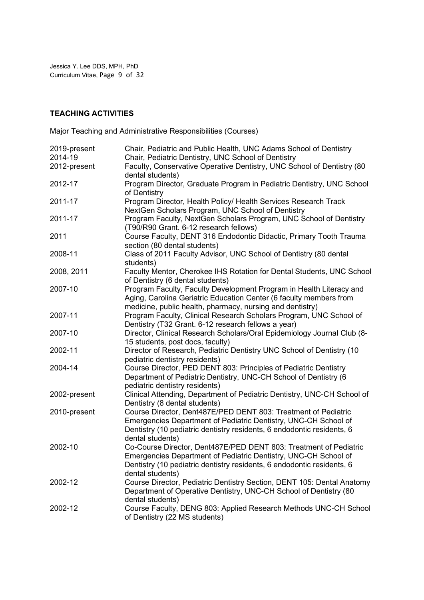Jessica Y. Lee DDS, MPH, PhD Curriculum Vitae, Page 9 of 32

# TEACHING ACTIVITIES

Major Teaching and Administrative Responsibilities (Courses)

| 2019-present | Chair, Pediatric and Public Health, UNC Adams School of Dentistry                                                                                                                                                                  |
|--------------|------------------------------------------------------------------------------------------------------------------------------------------------------------------------------------------------------------------------------------|
| 2014-19      | Chair, Pediatric Dentistry, UNC School of Dentistry                                                                                                                                                                                |
| 2012-present | Faculty, Conservative Operative Dentistry, UNC School of Dentistry (80<br>dental students)                                                                                                                                         |
| 2012-17      | Program Director, Graduate Program in Pediatric Dentistry, UNC School<br>of Dentistry                                                                                                                                              |
| 2011-17      | Program Director, Health Policy/ Health Services Research Track<br>NextGen Scholars Program, UNC School of Dentistry                                                                                                               |
| 2011-17      | Program Faculty, NextGen Scholars Program, UNC School of Dentistry<br>(T90/R90 Grant. 6-12 research fellows)                                                                                                                       |
| 2011         | Course Faculty, DENT 316 Endodontic Didactic, Primary Tooth Trauma                                                                                                                                                                 |
| 2008-11      | section (80 dental students)<br>Class of 2011 Faculty Advisor, UNC School of Dentistry (80 dental                                                                                                                                  |
| 2008, 2011   | students)<br>Faculty Mentor, Cherokee IHS Rotation for Dental Students, UNC School<br>of Dentistry (6 dental students)                                                                                                             |
| 2007-10      | Program Faculty, Faculty Development Program in Health Literacy and<br>Aging, Carolina Geriatric Education Center (6 faculty members from                                                                                          |
| 2007-11      | medicine, public health, pharmacy, nursing and dentistry)<br>Program Faculty, Clinical Research Scholars Program, UNC School of<br>Dentistry (T32 Grant. 6-12 research fellows a year)                                             |
| 2007-10      | Director, Clinical Research Scholars/Oral Epidemiology Journal Club (8-<br>15 students, post docs, faculty)                                                                                                                        |
| 2002-11      | Director of Research, Pediatric Dentistry UNC School of Dentistry (10<br>pediatric dentistry residents)                                                                                                                            |
| 2004-14      | Course Director, PED DENT 803: Principles of Pediatric Dentistry<br>Department of Pediatric Dentistry, UNC-CH School of Dentistry (6<br>pediatric dentistry residents)                                                             |
| 2002-present | Clinical Attending, Department of Pediatric Dentistry, UNC-CH School of<br>Dentistry (8 dental students)                                                                                                                           |
| 2010-present | Course Director, Dent487E/PED DENT 803: Treatment of Pediatric<br>Emergencies Department of Pediatric Dentistry, UNC-CH School of<br>Dentistry (10 pediatric dentistry residents, 6 endodontic residents, 6                        |
| 2002-10      | dental students)<br>Co-Course Director, Dent487E/PED DENT 803: Treatment of Pediatric<br>Emergencies Department of Pediatric Dentistry, UNC-CH School of<br>Dentistry (10 pediatric dentistry residents, 6 endodontic residents, 6 |
| 2002-12      | dental students)<br>Course Director, Pediatric Dentistry Section, DENT 105: Dental Anatomy<br>Department of Operative Dentistry, UNC-CH School of Dentistry (80                                                                    |
| 2002-12      | dental students)<br>Course Faculty, DENG 803: Applied Research Methods UNC-CH School<br>of Dentistry (22 MS students)                                                                                                              |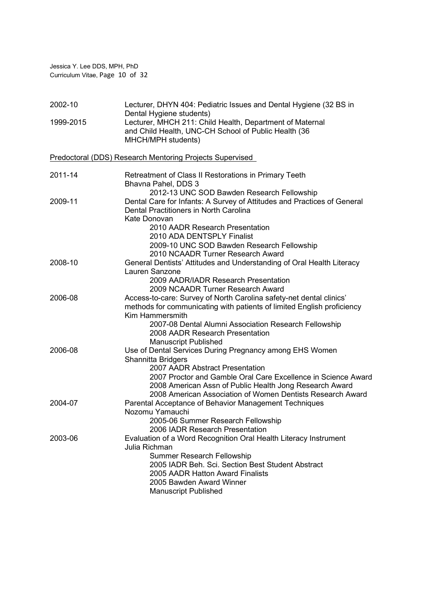Jessica Y. Lee DDS, MPH, PhD Curriculum Vitae, Page 10 of 32

| 2002-10   | Lecturer, DHYN 404: Pediatric Issues and Dental Hygiene (32 BS in<br>Dental Hygiene students)                                                                                                                                                                                                              |
|-----------|------------------------------------------------------------------------------------------------------------------------------------------------------------------------------------------------------------------------------------------------------------------------------------------------------------|
| 1999-2015 | Lecturer, MHCH 211: Child Health, Department of Maternal<br>and Child Health, UNC-CH School of Public Health (36<br>MHCH/MPH students)                                                                                                                                                                     |
|           | <b>Predoctoral (DDS) Research Mentoring Projects Supervised</b>                                                                                                                                                                                                                                            |
| 2011-14   | Retreatment of Class II Restorations in Primary Teeth<br>Bhavna Pahel, DDS 3                                                                                                                                                                                                                               |
| 2009-11   | 2012-13 UNC SOD Bawden Research Fellowship<br>Dental Care for Infants: A Survey of Attitudes and Practices of General<br>Dental Practitioners in North Carolina<br>Kate Donovan                                                                                                                            |
|           | 2010 AADR Research Presentation<br>2010 ADA DENTSPLY Finalist<br>2009-10 UNC SOD Bawden Research Fellowship<br>2010 NCAADR Turner Research Award                                                                                                                                                           |
| 2008-10   | General Dentists' Attitudes and Understanding of Oral Health Literacy<br>Lauren Sanzone<br>2009 AADR/IADR Research Presentation<br>2009 NCAADR Turner Research Award                                                                                                                                       |
| 2006-08   | Access-to-care: Survey of North Carolina safety-net dental clinics'<br>methods for communicating with patients of limited English proficiency<br>Kim Hammersmith<br>2007-08 Dental Alumni Association Research Fellowship<br>2008 AADR Research Presentation<br><b>Manuscript Published</b>                |
| 2006-08   | Use of Dental Services During Pregnancy among EHS Women<br>Shannitta Bridgers<br>2007 AADR Abstract Presentation<br>2007 Proctor and Gamble Oral Care Excellence in Science Award<br>2008 American Assn of Public Health Jong Research Award<br>2008 American Association of Women Dentists Research Award |
| 2004-07   | Parental Acceptance of Behavior Management Techniques<br>Nozomu Yamauchi<br>2005-06 Summer Research Fellowship<br>2006 IADR Research Presentation                                                                                                                                                          |
| 2003-06   | Evaluation of a Word Recognition Oral Health Literacy Instrument<br>Julia Richman<br><b>Summer Research Fellowship</b><br>2005 IADR Beh. Sci. Section Best Student Abstract<br>2005 AADR Hatton Award Finalists<br>2005 Bawden Award Winner<br><b>Manuscript Published</b>                                 |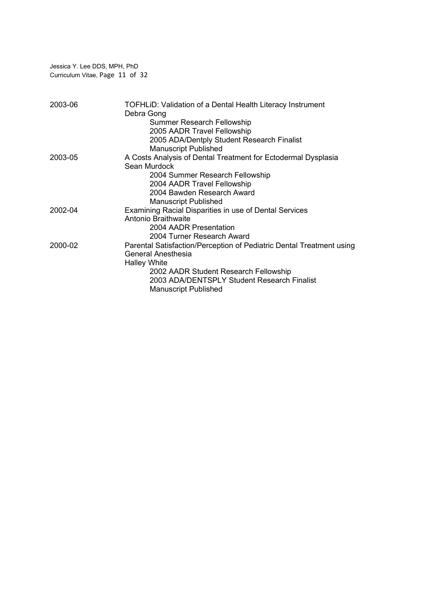Jessica Y. Lee DDS, MPH, PhD Curriculum Vitae, Page 11 of 32

| 2003-06 | TOFHLID: Validation of a Dental Health Literacy Instrument<br>Debra Gong |
|---------|--------------------------------------------------------------------------|
|         | <b>Summer Research Fellowship</b>                                        |
|         | 2005 AADR Travel Fellowship                                              |
|         | 2005 ADA/Dentply Student Research Finalist                               |
|         | <b>Manuscript Published</b>                                              |
| 2003-05 | A Costs Analysis of Dental Treatment for Ectodermal Dysplasia            |
|         | Sean Murdock                                                             |
|         | 2004 Summer Research Fellowship                                          |
|         | 2004 AADR Travel Fellowship                                              |
|         | 2004 Bawden Research Award                                               |
|         | <b>Manuscript Published</b>                                              |
| 2002-04 | Examining Racial Disparities in use of Dental Services                   |
|         | Antonio Braithwaite                                                      |
|         | 2004 AADR Presentation                                                   |
|         | 2004 Turner Research Award                                               |
| 2000-02 | Parental Satisfaction/Perception of Pediatric Dental Treatment using     |
|         | General Anesthesia                                                       |
|         | <b>Halley White</b>                                                      |
|         | 2002 AADR Student Research Fellowship                                    |
|         | 2003 ADA/DENTSPLY Student Research Finalist                              |
|         | <b>Manuscript Published</b>                                              |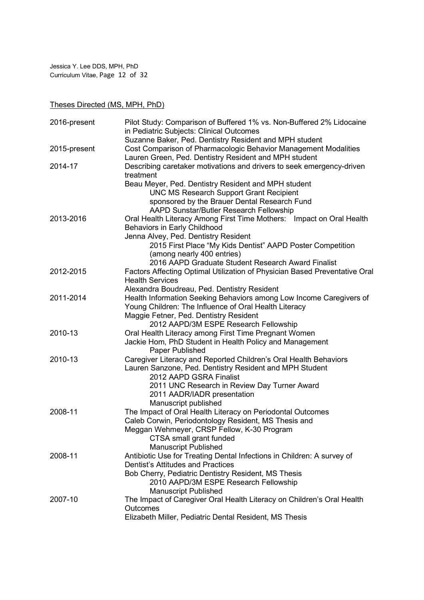Jessica Y. Lee DDS, MPH, PhD Curriculum Vitae, Page 12 of 32

Theses Directed (MS, MPH, PhD)

| 2016-present | Pilot Study: Comparison of Buffered 1% vs. Non-Buffered 2% Lidocaine<br>in Pediatric Subjects: Clinical Outcomes |
|--------------|------------------------------------------------------------------------------------------------------------------|
|              | Suzanne Baker, Ped. Dentistry Resident and MPH student                                                           |
| 2015-present | Cost Comparison of Pharmacologic Behavior Management Modalities                                                  |
|              | Lauren Green, Ped. Dentistry Resident and MPH student                                                            |
| 2014-17      | Describing caretaker motivations and drivers to seek emergency-driven<br>treatment                               |
|              | Beau Meyer, Ped. Dentistry Resident and MPH student                                                              |
|              | <b>UNC MS Research Support Grant Recipient</b>                                                                   |
|              | sponsored by the Brauer Dental Research Fund                                                                     |
|              | AAPD Sunstar/Butler Research Fellowship                                                                          |
| 2013-2016    | Oral Health Literacy Among First Time Mothers: Impact on Oral Health                                             |
|              | Behaviors in Early Childhood                                                                                     |
|              | Jenna Alvey, Ped. Dentistry Resident                                                                             |
|              | 2015 First Place "My Kids Dentist" AAPD Poster Competition                                                       |
|              | (among nearly 400 entries)                                                                                       |
|              | 2016 AAPD Graduate Student Research Award Finalist                                                               |
| 2012-2015    | Factors Affecting Optimal Utilization of Physician Based Preventative Oral                                       |
|              | <b>Health Services</b>                                                                                           |
|              | Alexandra Boudreau, Ped. Dentistry Resident                                                                      |
| 2011-2014    | Health Information Seeking Behaviors among Low Income Caregivers of                                              |
|              | Young Children: The Influence of Oral Health Literacy                                                            |
|              | Maggie Fetner, Ped. Dentistry Resident                                                                           |
|              | 2012 AAPD/3M ESPE Research Fellowship                                                                            |
| 2010-13      | Oral Health Literacy among First Time Pregnant Women                                                             |
|              | Jackie Hom, PhD Student in Health Policy and Management                                                          |
|              | Paper Published                                                                                                  |
| 2010-13      | Caregiver Literacy and Reported Children's Oral Health Behaviors                                                 |
|              | Lauren Sanzone, Ped. Dentistry Resident and MPH Student                                                          |
|              | 2012 AAPD GSRA Finalist                                                                                          |
|              | 2011 UNC Research in Review Day Turner Award<br>2011 AADR/IADR presentation                                      |
|              | Manuscript published                                                                                             |
| 2008-11      | The Impact of Oral Health Literacy on Periodontal Outcomes                                                       |
|              | Caleb Corwin, Periodontology Resident, MS Thesis and                                                             |
|              | Meggan Wehmeyer, CRSP Fellow, K-30 Program                                                                       |
|              | CTSA small grant funded                                                                                          |
|              | <b>Manuscript Published</b>                                                                                      |
| 2008-11      | Antibiotic Use for Treating Dental Infections in Children: A survey of                                           |
|              | <b>Dentist's Attitudes and Practices</b>                                                                         |
|              | Bob Cherry, Pediatric Dentistry Resident, MS Thesis                                                              |
|              | 2010 AAPD/3M ESPE Research Fellowship                                                                            |
|              | <b>Manuscript Published</b>                                                                                      |
| 2007-10      | The Impact of Caregiver Oral Health Literacy on Children's Oral Health                                           |
|              | Outcomes                                                                                                         |
|              | Elizabeth Miller, Pediatric Dental Resident, MS Thesis                                                           |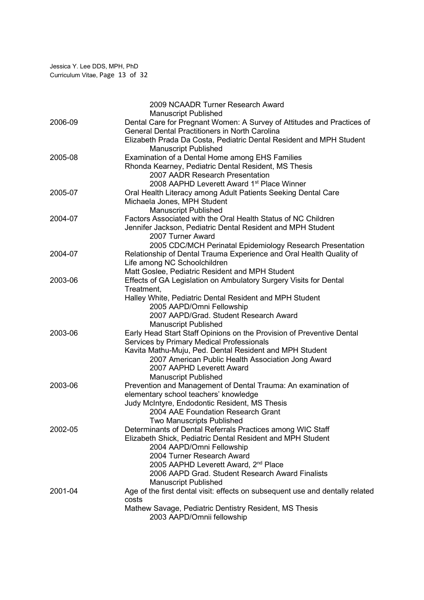|         | 2009 NCAADR Turner Research Award                                                    |
|---------|--------------------------------------------------------------------------------------|
|         | <b>Manuscript Published</b>                                                          |
| 2006-09 | Dental Care for Pregnant Women: A Survey of Attitudes and Practices of               |
|         | <b>General Dental Practitioners in North Carolina</b>                                |
|         | Elizabeth Prada Da Costa, Pediatric Dental Resident and MPH Student                  |
|         | <b>Manuscript Published</b>                                                          |
| 2005-08 | Examination of a Dental Home among EHS Families                                      |
|         | Rhonda Kearney, Pediatric Dental Resident, MS Thesis                                 |
|         | 2007 AADR Research Presentation                                                      |
|         | 2008 AAPHD Leverett Award 1 <sup>st</sup> Place Winner                               |
| 2005-07 | Oral Health Literacy among Adult Patients Seeking Dental Care                        |
|         | Michaela Jones, MPH Student                                                          |
|         | <b>Manuscript Published</b>                                                          |
| 2004-07 | Factors Associated with the Oral Health Status of NC Children                        |
|         | Jennifer Jackson, Pediatric Dental Resident and MPH Student                          |
|         | 2007 Turner Award                                                                    |
|         | 2005 CDC/MCH Perinatal Epidemiology Research Presentation                            |
| 2004-07 | Relationship of Dental Trauma Experience and Oral Health Quality of                  |
|         | Life among NC Schoolchildren                                                         |
|         | Matt Goslee, Pediatric Resident and MPH Student                                      |
| 2003-06 | Effects of GA Legislation on Ambulatory Surgery Visits for Dental                    |
|         | Treatment,                                                                           |
|         | Halley White, Pediatric Dental Resident and MPH Student<br>2005 AAPD/Omni Fellowship |
|         | 2007 AAPD/Grad. Student Research Award                                               |
|         | <b>Manuscript Published</b>                                                          |
| 2003-06 | Early Head Start Staff Opinions on the Provision of Preventive Dental                |
|         | Services by Primary Medical Professionals                                            |
|         | Kavita Mathu-Muju, Ped. Dental Resident and MPH Student                              |
|         | 2007 American Public Health Association Jong Award                                   |
|         | 2007 AAPHD Leverett Award                                                            |
|         | <b>Manuscript Published</b>                                                          |
| 2003-06 | Prevention and Management of Dental Trauma: An examination of                        |
|         | elementary school teachers' knowledge                                                |
|         | Judy McIntyre, Endodontic Resident, MS Thesis                                        |
|         | 2004 AAE Foundation Research Grant                                                   |
|         | Two Manuscripts Published                                                            |
| 2002-05 | Determinants of Dental Referrals Practices among WIC Staff                           |
|         | Elizabeth Shick, Pediatric Dental Resident and MPH Student                           |
|         | 2004 AAPD/Omni Fellowship                                                            |
|         | 2004 Turner Research Award                                                           |
|         | 2005 AAPHD Leverett Award, 2 <sup>nd</sup> Place                                     |
|         | 2006 AAPD Grad. Student Research Award Finalists                                     |
|         | <b>Manuscript Published</b>                                                          |
| 2001-04 | Age of the first dental visit: effects on subsequent use and dentally related        |
|         | costs                                                                                |
|         | Mathew Savage, Pediatric Dentistry Resident, MS Thesis                               |
|         | 2003 AAPD/Omnii fellowship                                                           |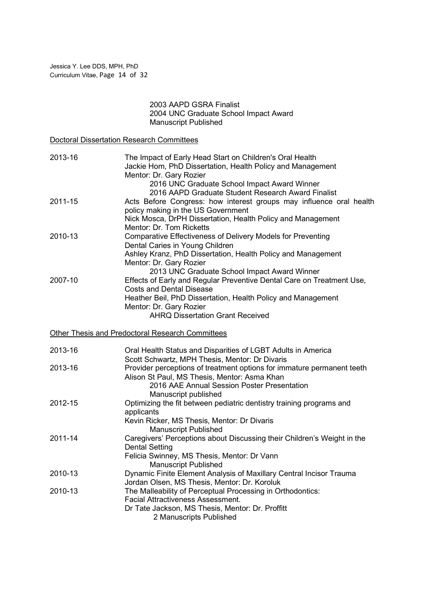### 2003 AAPD GSRA Finalist 2004 UNC Graduate School Impact Award Manuscript Published

Doctoral Dissertation Research Committees

| 2013-16 | The Impact of Early Head Start on Children's Oral Health<br>Jackie Hom, PhD Dissertation, Health Policy and Management<br>Mentor: Dr. Gary Rozier<br>2016 UNC Graduate School Impact Award Winner<br>2016 AAPD Graduate Student Research Award Finalist                                        |
|---------|------------------------------------------------------------------------------------------------------------------------------------------------------------------------------------------------------------------------------------------------------------------------------------------------|
| 2011-15 | Acts Before Congress: how interest groups may influence oral health<br>policy making in the US Government<br>Nick Mosca, DrPH Dissertation, Health Policy and Management                                                                                                                       |
| 2010-13 | Mentor: Dr. Tom Ricketts<br>Comparative Effectiveness of Delivery Models for Preventing<br>Dental Caries in Young Children<br>Ashley Kranz, PhD Dissertation, Health Policy and Management<br>Mentor: Dr. Gary Rozier                                                                          |
| 2007-10 | 2013 UNC Graduate School Impact Award Winner<br>Effects of Early and Regular Preventive Dental Care on Treatment Use,<br><b>Costs and Dental Disease</b><br>Heather Beil, PhD Dissertation, Health Policy and Management<br>Mentor: Dr. Gary Rozier<br><b>AHRQ Dissertation Grant Received</b> |
|         | Other Thesis and Predoctoral Research Committees                                                                                                                                                                                                                                               |
| 2013-16 | Oral Health Status and Disparities of LGBT Adults in America<br>Scott Schwartz, MPH Thesis, Mentor: Dr Divaris                                                                                                                                                                                 |
| 2013-16 | Provider perceptions of treatment options for immature permanent teeth<br>Alison St Paul, MS Thesis, Mentor: Asma Khan<br>2016 AAE Annual Session Poster Presentation                                                                                                                          |
| 2012-15 | Manuscript published<br>Optimizing the fit between pediatric dentistry training programs and<br>applicants<br>Kevin Ricker, MS Thesis, Mentor: Dr Divaris                                                                                                                                      |
| 2011-14 | <b>Manuscript Published</b><br>Caregivers' Perceptions about Discussing their Children's Weight in the<br><b>Dental Setting</b><br>Felicia Swinney, MS Thesis, Mentor: Dr Vann<br><b>Manuscript Published</b>                                                                                  |
| 2010-13 | Dynamic Finite Element Analysis of Maxillary Central Incisor Trauma<br>Jordan Olsen, MS Thesis, Mentor: Dr. Koroluk                                                                                                                                                                            |
| 2010-13 | The Malleability of Perceptual Processing in Orthodontics:<br><b>Facial Attractiveness Assessment.</b><br>Dr Tate Jackson, MS Thesis, Mentor: Dr. Proffitt<br>2 Manuscripts Published                                                                                                          |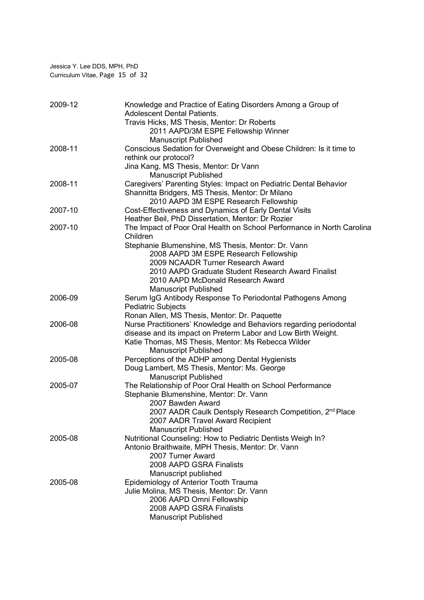| 2009-12 | Knowledge and Practice of Eating Disorders Among a Group of<br><b>Adolescent Dental Patients.</b> |
|---------|---------------------------------------------------------------------------------------------------|
|         | Travis Hicks, MS Thesis, Mentor: Dr Roberts                                                       |
|         | 2011 AAPD/3M ESPE Fellowship Winner                                                               |
|         | <b>Manuscript Published</b>                                                                       |
| 2008-11 | Conscious Sedation for Overweight and Obese Children: Is it time to                               |
|         | rethink our protocol?                                                                             |
|         | Jina Kang, MS Thesis, Mentor: Dr Vann                                                             |
|         | <b>Manuscript Published</b>                                                                       |
| 2008-11 | Caregivers' Parenting Styles: Impact on Pediatric Dental Behavior                                 |
|         | Shannitta Bridgers, MS Thesis, Mentor: Dr Milano                                                  |
|         | 2010 AAPD 3M ESPE Research Fellowship                                                             |
| 2007-10 | Cost-Effectiveness and Dynamics of Early Dental Visits                                            |
|         | Heather Beil, PhD Dissertation, Mentor: Dr Rozier                                                 |
| 2007-10 | The Impact of Poor Oral Health on School Performance in North Carolina                            |
|         | Children                                                                                          |
|         | Stephanie Blumenshine, MS Thesis, Mentor: Dr. Vann<br>2008 AAPD 3M ESPE Research Fellowship       |
|         | 2009 NCAADR Turner Research Award                                                                 |
|         | 2010 AAPD Graduate Student Research Award Finalist                                                |
|         | 2010 AAPD McDonald Research Award                                                                 |
|         | <b>Manuscript Published</b>                                                                       |
| 2006-09 | Serum IgG Antibody Response To Periodontal Pathogens Among                                        |
|         | <b>Pediatric Subjects</b>                                                                         |
|         | Ronan Allen, MS Thesis, Mentor: Dr. Paquette                                                      |
| 2006-08 | Nurse Practitioners' Knowledge and Behaviors regarding periodontal                                |
|         | disease and its impact on Preterm Labor and Low Birth Weight.                                     |
|         | Katie Thomas, MS Thesis, Mentor: Ms Rebecca Wilder                                                |
|         | <b>Manuscript Published</b>                                                                       |
| 2005-08 | Perceptions of the ADHP among Dental Hygienists                                                   |
|         | Doug Lambert, MS Thesis, Mentor: Ms. George                                                       |
|         | <b>Manuscript Published</b>                                                                       |
| 2005-07 | The Relationship of Poor Oral Health on School Performance                                        |
|         | Stephanie Blumenshine, Mentor: Dr. Vann                                                           |
|         | 2007 Bawden Award                                                                                 |
|         | 2007 AADR Caulk Dentsply Research Competition, 2 <sup>nd</sup> Place                              |
|         | 2007 AADR Travel Award Recipient                                                                  |
|         | <b>Manuscript Published</b>                                                                       |
| 2005-08 | Nutritional Counseling: How to Pediatric Dentists Weigh In?                                       |
|         | Antonio Braithwaite, MPH Thesis, Mentor: Dr. Vann                                                 |
|         | 2007 Turner Award                                                                                 |
|         | 2008 AAPD GSRA Finalists                                                                          |
| 2005-08 | Manuscript published<br>Epidemiology of Anterior Tooth Trauma                                     |
|         | Julie Molina, MS Thesis, Mentor: Dr. Vann                                                         |
|         | 2006 AAPD Omni Fellowship                                                                         |
|         | 2008 AAPD GSRA Finalists                                                                          |
|         | <b>Manuscript Published</b>                                                                       |
|         |                                                                                                   |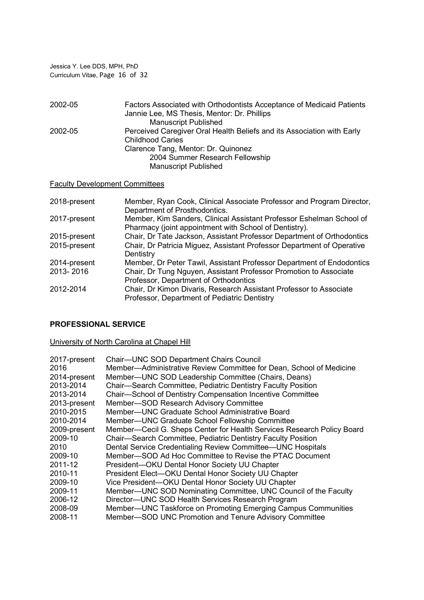Jessica Y. Lee DDS, MPH, PhD Curriculum Vitae, Page 16 of 32

| 2002-05 | Factors Associated with Orthodontists Acceptance of Medicaid Patients<br>Jannie Lee, MS Thesis, Mentor: Dr. Phillips |
|---------|----------------------------------------------------------------------------------------------------------------------|
|         | <b>Manuscript Published</b>                                                                                          |
| 2002-05 | Perceived Caregiver Oral Health Beliefs and its Association with Early                                               |
|         | <b>Childhood Caries</b>                                                                                              |
|         | Clarence Tang, Mentor: Dr. Quinonez                                                                                  |
|         | 2004 Summer Research Fellowship                                                                                      |
|         | <b>Manuscript Published</b>                                                                                          |

# Faculty Development Committees

| 2018-present | Member, Ryan Cook, Clinical Associate Professor and Program Director,<br>Department of Prosthodontics.                         |
|--------------|--------------------------------------------------------------------------------------------------------------------------------|
| 2017-present | Member, Kim Sanders, Clinical Assistant Professor Eshelman School of<br>Pharmacy (joint appointment with School of Dentistry). |
| 2015-present | Chair, Dr Tate Jackson, Assistant Professor Department of Orthodontics                                                         |
| 2015-present | Chair, Dr Patricia Miguez, Assistant Professor Department of Operative<br>Dentistry                                            |
| 2014-present | Member, Dr Peter Tawil, Assistant Professor Department of Endodontics                                                          |
| 2013-2016    | Chair, Dr Tung Nguyen, Assistant Professor Promotion to Associate<br>Professor, Department of Orthodontics                     |
| 2012-2014    | Chair, Dr Kimon Divaris, Research Assistant Professor to Associate<br>Professor, Department of Pediatric Dentistry             |

# PROFESSIONAL SERVICE

# University of North Carolina at Chapel Hill

| <b>Chair-UNC SOD Department Chairs Council</b>                         |
|------------------------------------------------------------------------|
| Member-Administrative Review Committee for Dean, School of Medicine    |
| Member-UNC SOD Leadership Committee (Chairs, Deans)                    |
| Chair-Search Committee, Pediatric Dentistry Faculty Position           |
| Chair-School of Dentistry Compensation Incentive Committee             |
| Member-SOD Research Advisory Committee                                 |
| Member—UNC Graduate School Administrative Board                        |
| Member-UNC Graduate School Fellowship Committee                        |
| Member—Cecil G. Sheps Center for Health Services Research Policy Board |
| Chair-Search Committee, Pediatric Dentistry Faculty Position           |
| Dental Service Credentialing Review Committee-UNC Hospitals            |
| Member—SOD Ad Hoc Committee to Revise the PTAC Document                |
| President-OKU Dental Honor Society UU Chapter                          |
| President Elect-OKU Dental Honor Society UU Chapter                    |
| Vice President-OKU Dental Honor Society UU Chapter                     |
| Member-UNC SOD Nominating Committee, UNC Council of the Faculty        |
| Director-UNC SOD Health Services Research Program                      |
| Member—UNC Taskforce on Promoting Emerging Campus Communities          |
| Member-SOD UNC Promotion and Tenure Advisory Committee                 |
|                                                                        |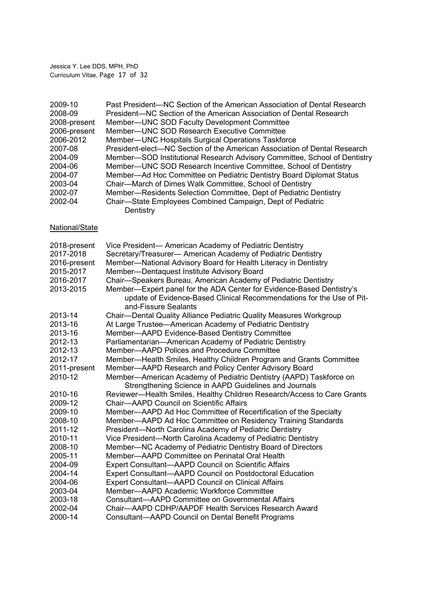Jessica Y. Lee DDS, MPH, PhD Curriculum Vitae, Page 17 of 32

| 2009-10<br>2008-09<br>2008-present<br>2006-present<br>2006-2012 | Past President—NC Section of the American Association of Dental Research<br>President—NC Section of the American Association of Dental Research<br>Member-UNC SOD Faculty Development Committee<br>Member-UNC SOD Research Executive Committee |
|-----------------------------------------------------------------|------------------------------------------------------------------------------------------------------------------------------------------------------------------------------------------------------------------------------------------------|
| 2007-08                                                         | Member-UNC Hospitals Surgical Operations Taskforce                                                                                                                                                                                             |
| 2004-09                                                         | President-elect—NC Section of the American Association of Dental Research                                                                                                                                                                      |
| 2004-06                                                         | Member-SOD Institutional Research Advisory Committee, School of Dentistry<br>Member-UNC SOD Research Incentive Committee, School of Dentistry                                                                                                  |
| 2004-07                                                         | Member-Ad Hoc Committee on Pediatric Dentistry Board Diplomat Status                                                                                                                                                                           |
| 2003-04                                                         | Chair-March of Dimes Walk Committee, School of Dentistry                                                                                                                                                                                       |
| 2002-07                                                         | Member-Residents Selection Committee, Dept of Pediatric Dentistry                                                                                                                                                                              |
| 2002-04                                                         | Chair-State Employees Combined Campaign, Dept of Pediatric<br>Dentistry                                                                                                                                                                        |
| National/State                                                  |                                                                                                                                                                                                                                                |
| 2018-present                                                    | Vice President- American Academy of Pediatric Dentistry                                                                                                                                                                                        |
| 2017-2018                                                       | Secretary/Treasurer- American Academy of Pediatric Dentistry                                                                                                                                                                                   |
| 2016-present                                                    | Member-National Advisory Board for Health Literacy in Dentistry                                                                                                                                                                                |
| 2015-2017                                                       | Member-Dentaquest Institute Advisory Board                                                                                                                                                                                                     |
| 2016-2017                                                       | Chair-Speakers Bureau, American Academy of Pediatric Dentistry                                                                                                                                                                                 |
| 2013-2015                                                       | Member-Expert panel for the ADA Center for Evidence-Based Dentistry's<br>update of Evidence-Based Clinical Recommendations for the Use of Pit-<br>and-Fissure Sealants                                                                         |
| 2013-14                                                         | Chair—Dental Quality Alliance Pediatric Quality Measures Workgroup                                                                                                                                                                             |
| 2013-16                                                         | At Large Trustee-American Academy of Pediatric Dentistry                                                                                                                                                                                       |
| 2013-16                                                         | Member-AAPD Evidence-Based Dentistry Committee                                                                                                                                                                                                 |
| 2012-13                                                         | Parliamentarian-American Academy of Pediatric Dentistry                                                                                                                                                                                        |
| 2012-13                                                         | Member-AAPD Polices and Procedure Committee                                                                                                                                                                                                    |
| 2012-17                                                         | Member-Health Smiles, Healthy Children Program and Grants Committee                                                                                                                                                                            |
| 2011-present                                                    | Member-AAPD Research and Policy Center Advisory Board                                                                                                                                                                                          |
| 2010-12                                                         | Member-American Academy of Pediatric Dentistry (AAPD) Taskforce on<br>Strengthening Science in AAPD Guidelines and Journals                                                                                                                    |
| 2010-16                                                         | Reviewer-Health Smiles, Healthy Children Research/Access to Care Grants                                                                                                                                                                        |
| 2009-12                                                         | Chair-AAPD Council on Scientific Affairs                                                                                                                                                                                                       |
| 2009-10                                                         | Member-AAPD Ad Hoc Committee of Recertification of the Specialty                                                                                                                                                                               |
| 2008-10                                                         | Member-AAPD Ad Hoc Committee on Residency Training Standards                                                                                                                                                                                   |
| 2011-12                                                         | President-North Carolina Academy of Pediatric Dentistry                                                                                                                                                                                        |
| 2010-11                                                         | Vice President-North Carolina Academy of Pediatric Dentistry                                                                                                                                                                                   |
| 2008-10                                                         | Member-NC Academy of Pediatric Dentistry Board of Directors                                                                                                                                                                                    |
| 2005-11                                                         | Member-AAPD Committee on Perinatal Oral Health                                                                                                                                                                                                 |
| 2004-09                                                         | <b>Expert Consultant-AAPD Council on Scientific Affairs</b>                                                                                                                                                                                    |
| 2004-14                                                         | <b>Expert Consultant-AAPD Council on Postdoctoral Education</b>                                                                                                                                                                                |
| 2004-06                                                         | <b>Expert Consultant-AAPD Council on Clinical Affairs</b>                                                                                                                                                                                      |
| 2003-04                                                         | Member-AAPD Academic Workforce Committee                                                                                                                                                                                                       |
| 2003-18                                                         | <b>Consultant-AAPD Committee on Governmental Affairs</b>                                                                                                                                                                                       |
| 2002-04                                                         | Chair-AAPD CDHP/AAPDF Health Services Research Award                                                                                                                                                                                           |
| 2000-14                                                         | Consultant-AAPD Council on Dental Benefit Programs                                                                                                                                                                                             |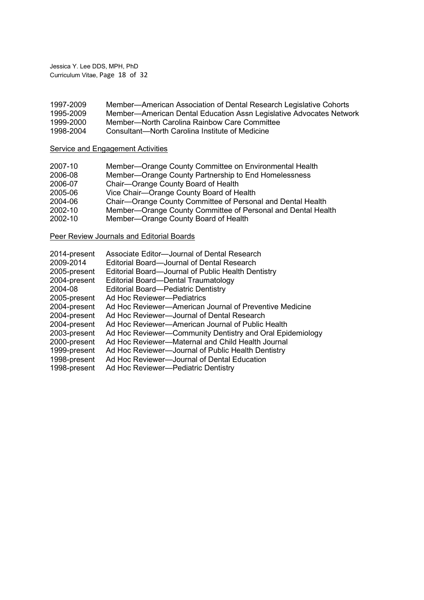Jessica Y. Lee DDS, MPH, PhD Curriculum Vitae, Page 18 of 32

| 1997-2009 | Member-American Association of Dental Research Legislative Cohorts  |
|-----------|---------------------------------------------------------------------|
| 1995-2009 | Member-American Dental Education Assn Legislative Advocates Network |
| 1999-2000 | Member-North Carolina Rainbow Care Committee                        |

1998-2004 Consultant—North Carolina Institute of Medicine

# Service and Engagement Activities

| Member-Orange County Partnership to End Homelessness<br>2006-08<br>Chair-Orange County Board of Health<br>2006-07<br>Vice Chair-Orange County Board of Health<br>2005-06<br>Chair-Orange County Committee of Personal and Dental Health<br>2004-06 |
|----------------------------------------------------------------------------------------------------------------------------------------------------------------------------------------------------------------------------------------------------|
|                                                                                                                                                                                                                                                    |
|                                                                                                                                                                                                                                                    |
|                                                                                                                                                                                                                                                    |
|                                                                                                                                                                                                                                                    |
| Member-Orange County Committee of Personal and Dental Health<br>2002-10                                                                                                                                                                            |
| Member-Orange County Board of Health<br>2002-10                                                                                                                                                                                                    |

### **Peer Review Journals and Editorial Boards**

| 2014-present | Associate Editor-Journal of Dental Research               |
|--------------|-----------------------------------------------------------|
| 2009-2014    | Editorial Board—Journal of Dental Research                |
| 2005-present | Editorial Board-Journal of Public Health Dentistry        |
| 2004-present | Editorial Board-Dental Traumatology                       |
| 2004-08      | <b>Editorial Board-Pediatric Dentistry</b>                |
| 2005-present | Ad Hoc Reviewer-Pediatrics                                |
| 2004-present | Ad Hoc Reviewer—American Journal of Preventive Medicine   |
| 2004-present | Ad Hoc Reviewer-Journal of Dental Research                |
| 2004-present | Ad Hoc Reviewer—American Journal of Public Health         |
| 2003-present | Ad Hoc Reviewer-Community Dentistry and Oral Epidemiology |
| 2000-present | Ad Hoc Reviewer-Maternal and Child Health Journal         |
| 1999-present | Ad Hoc Reviewer-Journal of Public Health Dentistry        |
| 1998-present | Ad Hoc Reviewer-Journal of Dental Education               |
| 1998-present | Ad Hoc Reviewer-Pediatric Dentistry                       |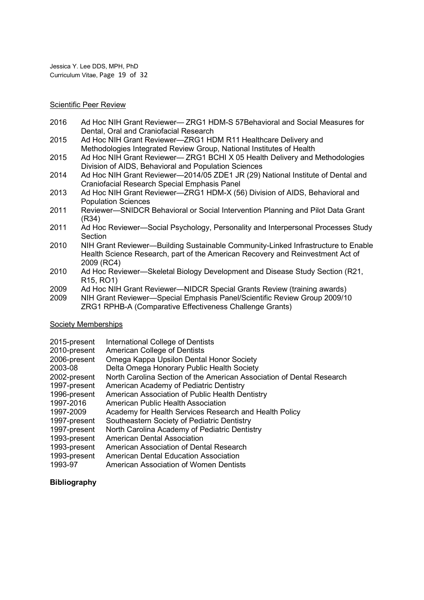Jessica Y. Lee DDS, MPH, PhD Curriculum Vitae, Page 19 of 32

#### Scientific Peer Review

- 2016 Ad Hoc NIH Grant Reviewer— ZRG1 HDM-S 57Behavioral and Social Measures for Dental, Oral and Craniofacial Research
- 2015 Ad Hoc NIH Grant Reviewer—ZRG1 HDM R11 Healthcare Delivery and Methodologies Integrated Review Group, National Institutes of Health
- 2015 Ad Hoc NIH Grant Reviewer— ZRG1 BCHI X 05 Health Delivery and Methodologies Division of AIDS, Behavioral and Population Sciences
- 2014 Ad Hoc NIH Grant Reviewer—2014/05 ZDE1 JR (29) National Institute of Dental and Craniofacial Research Special Emphasis Panel
- 2013 Ad Hoc NIH Grant Reviewer—ZRG1 HDM-X (56) Division of AIDS, Behavioral and Population Sciences
- 2011 Reviewer—SNIDCR Behavioral or Social Intervention Planning and Pilot Data Grant (R34)
- 2011 Ad Hoc Reviewer—Social Psychology, Personality and Interpersonal Processes Study **Section**
- 2010 NIH Grant Reviewer—Building Sustainable Community-Linked Infrastructure to Enable Health Science Research, part of the American Recovery and Reinvestment Act of 2009 (RC4)
- 2010 Ad Hoc Reviewer—Skeletal Biology Development and Disease Study Section (R21, R15, RO1)
- 2009 Ad Hoc NIH Grant Reviewer—NIDCR Special Grants Review (training awards)
- 2009 NIH Grant Reviewer—Special Emphasis Panel/Scientific Review Group 2009/10 ZRG1 RPHB-A (Comparative Effectiveness Challenge Grants)

### Society Memberships

- 2015-present International College of Dentists
- 2010-present American College of Dentists
- 2006-present Omega Kappa Upsilon Dental Honor Society
- 2003-08 Delta Omega Honorary Public Health Society
- 2002-present North Carolina Section of the American Association of Dental Research
- 1997-present American Academy of Pediatric Dentistry
- 1996-present American Association of Public Health Dentistry
- 1997-2016 American Public Health Association
- 1997-2009 Academy for Health Services Research and Health Policy
- 1997-present Southeastern Society of Pediatric Dentistry
- 1997-present North Carolina Academy of Pediatric Dentistry
- 1993-present American Dental Association
- 1993-present American Association of Dental Research
- 1993-present American Dental Education Association
- 1993-97 American Association of Women Dentists

### Bibliography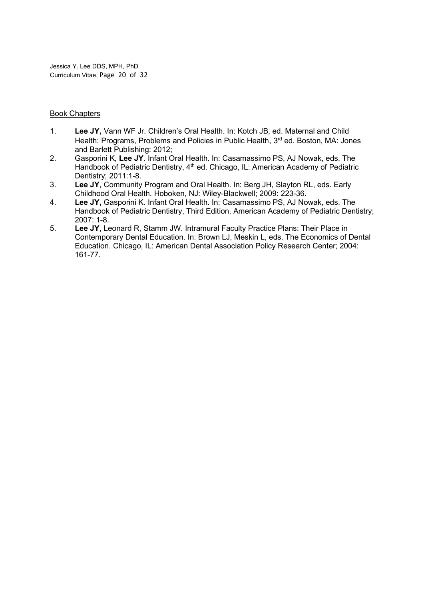Jessica Y. Lee DDS, MPH, PhD Curriculum Vitae, Page 20 of 32

### Book Chapters

- 1. Lee JY, Vann WF Jr. Children's Oral Health. In: Kotch JB, ed. Maternal and Child Health: Programs, Problems and Policies in Public Health, 3<sup>rd</sup> ed. Boston, MA: Jones and Barlett Publishing: 2012;
- 2. Gasporini K, Lee JY. Infant Oral Health. In: Casamassimo PS, AJ Nowak, eds. The Handbook of Pediatric Dentistry, 4<sup>th</sup> ed. Chicago, IL: American Academy of Pediatric Dentistry; 2011:1-8.
- 3. Lee JY, Community Program and Oral Health. In: Berg JH, Slayton RL, eds. Early Childhood Oral Health. Hoboken, NJ: Wiley-Blackwell; 2009: 223-36.
- 4. Lee JY, Gasporini K. Infant Oral Health. In: Casamassimo PS, AJ Nowak, eds. The Handbook of Pediatric Dentistry, Third Edition. American Academy of Pediatric Dentistry; 2007: 1-8.
- 5. Lee JY, Leonard R, Stamm JW. Intramural Faculty Practice Plans: Their Place in Contemporary Dental Education. In: Brown LJ, Meskin L, eds. The Economics of Dental Education. Chicago, IL: American Dental Association Policy Research Center; 2004: 161-77.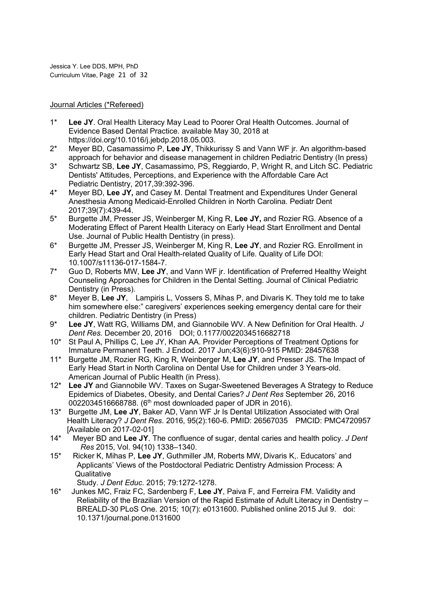Jessica Y. Lee DDS, MPH, PhD Curriculum Vitae, Page 21 of 32

### Journal Articles (\*Refereed)

- 1\* Lee JY. Oral Health Literacy May Lead to Poorer Oral Health Outcomes. Journal of Evidence Based Dental Practice. available May 30, 2018 at https://doi.org/10.1016/j.jebdp.2018.05.003.
- 2\* Meyer BD, Casamassimo P, Lee JY, Thikkurissy S and Vann WF jr. An algorithm-based approach for behavior and disease management in children Pediatric Dentistry (In press)
- 3\* Schwartz SB, Lee JY, Casamassimo, PS, Reggiardo, P, Wright R, and Litch SC. Pediatric Dentists' Attitudes, Perceptions, and Experience with the Affordable Care Act Pediatric Dentistry, 2017,39:392-396.
- 4\* Meyer BD, Lee JY, and Casey M. Dental Treatment and Expenditures Under General Anesthesia Among Medicaid-Enrolled Children in North Carolina. Pediatr Dent 2017;39(7):439-44.
- 5\* Burgette JM, Presser JS, Weinberger M, King R, Lee JY, and Rozier RG. Absence of a Moderating Effect of Parent Health Literacy on Early Head Start Enrollment and Dental Use. Journal of Public Health Dentistry (in press).
- 6\* Burgette JM, Presser JS, Weinberger M, King R, Lee JY, and Rozier RG. Enrollment in Early Head Start and Oral Health-related Quality of Life. Quality of Life DOI: 10.1007/s11136-017-1584-7.
- 7\* Guo D, Roberts MW, Lee JY, and Vann WF jr. Identification of Preferred Healthy Weight Counseling Approaches for Children in the Dental Setting. Journal of Clinical Pediatric Dentistry (in Press).
- 8\* Meyer B, Lee JY, Lampiris L, Vossers S, Mihas P, and Divaris K. They told me to take him somewhere else:" caregivers' experiences seeking emergency dental care for their children. Pediatric Dentistry (in Press)
- 9<sup>\*</sup> Lee JY, Watt RG, Williams DM, and Giannobile WV, A New Definition for Oral Health, J Dent Res. December 20, 2016 DOI; 0.1177/0022034516682718
- 10\* St Paul A, Phillips C, Lee JY, Khan AA. Provider Perceptions of Treatment Options for Immature Permanent Teeth. J Endod. 2017 Jun;43(6):910-915 PMID: 28457638
- 11<sup>\*</sup> Burgette JM, Rozier RG, King R, Weinberger M, Lee JY, and Presser JS. The Impact of Early Head Start in North Carolina on Dental Use for Children under 3 Years-old. American Journal of Public Health (in Press).
- 12\* Lee JY and Giannobile WV. Taxes on Sugar-Sweetened Beverages A Strategy to Reduce Epidemics of Diabetes, Obesity, and Dental Caries? J Dent Res September 26, 2016 0022034516668788. (6<sup>th</sup> most downloaded paper of JDR in 2016).
- 13\* Burgette JM, Lee JY, Baker AD, Vann WF Jr Is Dental Utilization Associated with Oral Health Literacy? J Dent Res. 2016, 95(2):160-6. PMID: 26567035 PMCID: PMC4720957 [Available on 2017-02-01]
- 14\* Meyer BD and Lee JY. The confluence of sugar, dental caries and health policy. J Dent Res 2015, Vol. 94(10) 1338–1340.
- 15\* Ricker K, Mihas P, Lee JY, Guthmiller JM, Roberts MW, Divaris K,. Educators' and Applicants' Views of the Postdoctoral Pediatric Dentistry Admission Process: A **Qualitative**

Study. J Dent Educ. 2015; 79:1272-1278.

16\* Junkes MC, Fraiz FC, Sardenberg F, Lee JY, Paiva F, and Ferreira FM. Validity and Reliability of the Brazilian Version of the Rapid Estimate of Adult Literacy in Dentistry – BREALD-30 PLoS One. 2015; 10(7): e0131600. Published online 2015 Jul 9. doi: 10.1371/journal.pone.0131600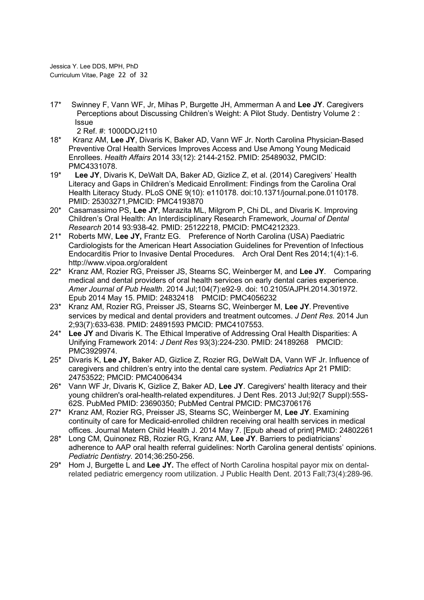Jessica Y. Lee DDS, MPH, PhD Curriculum Vitae, Page 22 of 32

17\* Swinney F, Vann WF, Jr, Mihas P, Burgette JH, Ammerman A and Lee JY. Caregivers Perceptions about Discussing Children's Weight: A Pilot Study. Dentistry Volume 2 : Issue

2 Ref. #: 1000DOJ2110

- 18\* Kranz AM, Lee JY, Divaris K, Baker AD, Vann WF Jr. North Carolina Physician-Based Preventive Oral Health Services Improves Access and Use Among Young Medicaid Enrollees. Health Affairs 2014 33(12): 2144-2152. PMID: 25489032, PMCID: PMC4331078.
- 19\* Lee JY, Divaris K, DeWalt DA, Baker AD, Gizlice Z, et al. (2014) Caregivers' Health Literacy and Gaps in Children's Medicaid Enrollment: Findings from the Carolina Oral Health Literacy Study. PLoS ONE 9(10): e110178. doi:10.1371/journal.pone.0110178. PMID: 25303271,PMCID: PMC4193870
- 20\* Casamassimo PS, Lee JY, Marazita ML, Milgrom P, Chi DL, and Divaris K. Improving Children's Oral Health: An Interdisciplinary Research Framework, Journal of Dental Research 2014 93:938-42. PMID: 25122218, PMCID: PMC4212323.
- 21\* Roberts MW, Lee JY, Frantz EG. Preference of North Carolina (USA) Paediatric Cardiologists for the American Heart Association Guidelines for Prevention of Infectious Endocarditis Prior to Invasive Dental Procedures. Arch Oral Dent Res 2014;1(4):1-6. http://www.vipoa.org/oraldent
- 22\* Kranz AM, Rozier RG, Preisser JS, Stearns SC, Weinberger M, and Lee JY. Comparing medical and dental providers of oral health services on early dental caries experience. Amer Journal of Pub Health. 2014 Jul;104(7):e92-9. doi: 10.2105/AJPH.2014.301972. Epub 2014 May 15. PMID: 24832418 PMCID: PMC4056232
- 23\* Kranz AM, Rozier RG, Preisser JS, Stearns SC, Weinberger M, Lee JY. Preventive services by medical and dental providers and treatment outcomes. J Dent Res. 2014 Jun 2;93(7):633-638. PMID: 24891593 PMCID: PMC4107553.
- 24\* Lee JY and Divaris K. The Ethical Imperative of Addressing Oral Health Disparities: A Unifying Framework 2014: J Dent Res 93(3):224-230. PMID: 24189268 PMCID: PMC3929974.
- 25<sup>\*</sup> Divaris K, Lee JY, Baker AD, Gizlice Z, Rozier RG, DeWalt DA, Vann WF Jr. Influence of caregivers and children's entry into the dental care system. Pediatrics Apr 21 PMID: 24753522; PMCID: PMC4006434
- 26\* Vann WF Jr, Divaris K, Gizlice Z, Baker AD, Lee JY. Caregivers' health literacy and their young children's oral-health-related expenditures. J Dent Res. 2013 Jul;92(7 Suppl):55S-62S. PubMed PMID: 23690350; PubMed Central PMCID: PMC3706176
- 27\* Kranz AM, Rozier RG, Preisser JS, Stearns SC, Weinberger M, Lee JY. Examining continuity of care for Medicaid-enrolled children receiving oral health services in medical offices. Journal Matern Child Health J. 2014 May 7. [Epub ahead of print] PMID: 24802261
- 28\* Long CM, Quinonez RB, Rozier RG, Kranz AM, Lee JY. Barriers to pediatricians' adherence to AAP oral health referral guidelines: North Carolina general dentists' opinions. Pediatric Dentistry. 2014;36:250-256.
- $29*$  Hom J, Burgette L and Lee JY. The effect of North Carolina hospital payor mix on dentalrelated pediatric emergency room utilization. J Public Health Dent. 2013 Fall;73(4):289-96.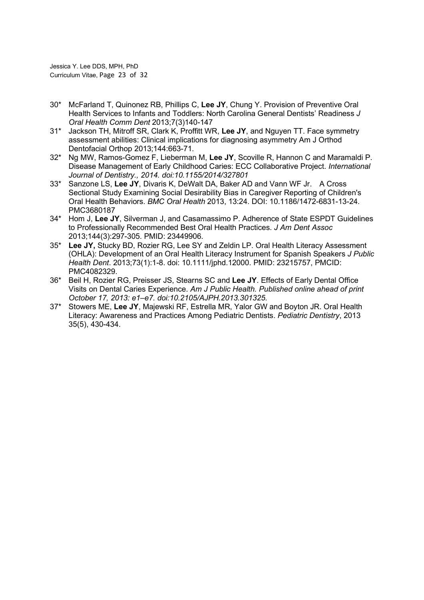Jessica Y. Lee DDS, MPH, PhD Curriculum Vitae, Page 23 of 32

- 30\* McFarland T, Quinonez RB, Phillips C, Lee JY, Chung Y. Provision of Preventive Oral Health Services to Infants and Toddlers: North Carolina General Dentists' Readiness J Oral Health Comm Dent 2013;7(3)140-147
- 31\* Jackson TH, Mitroff SR, Clark K, Proffitt WR, Lee JY, and Nguyen TT. Face symmetry assessment abilities: Clinical implications for diagnosing asymmetry Am J Orthod Dentofacial Orthop 2013;144:663-71.
- 32\* Ng MW, Ramos-Gomez F, Lieberman M, Lee JY, Scoville R, Hannon C and Maramaldi P. Disease Management of Early Childhood Caries: ECC Collaborative Project. International Journal of Dentistry., 2014. doi:10.1155/2014/327801
- 33\* Sanzone LS, Lee JY, Divaris K, DeWalt DA, Baker AD and Vann WF Jr. A Cross Sectional Study Examining Social Desirability Bias in Caregiver Reporting of Children's Oral Health Behaviors. BMC Oral Health 2013, 13:24. DOI: 10.1186/1472-6831-13-24. PMC3680187
- 34\* Hom J, Lee JY, Silverman J, and Casamassimo P. Adherence of State ESPDT Guidelines to Professionally Recommended Best Oral Health Practices. J Am Dent Assoc 2013;144(3):297-305. PMID: 23449906.
- 35\* Lee JY, Stucky BD, Rozier RG, Lee SY and Zeldin LP. Oral Health Literacy Assessment (OHLA): Development of an Oral Health Literacy Instrument for Spanish Speakers J Public Health Dent. 2013;73(1):1-8. doi: 10.1111/jphd.12000. PMID: 23215757, PMCID: PMC4082329.
- 36\* Beil H, Rozier RG, Preisser JS, Stearns SC and Lee JY. Effects of Early Dental Office Visits on Dental Caries Experience. Am J Public Health. Published online ahead of print October 17, 2013: e1–e7. doi:10.2105/AJPH.2013.301325.
- 37\* Stowers ME, Lee JY, Majewski RF, Estrella MR, Yalor GW and Boyton JR. Oral Health Literacy: Awareness and Practices Among Pediatric Dentists. Pediatric Dentistry, 2013 35(5), 430-434.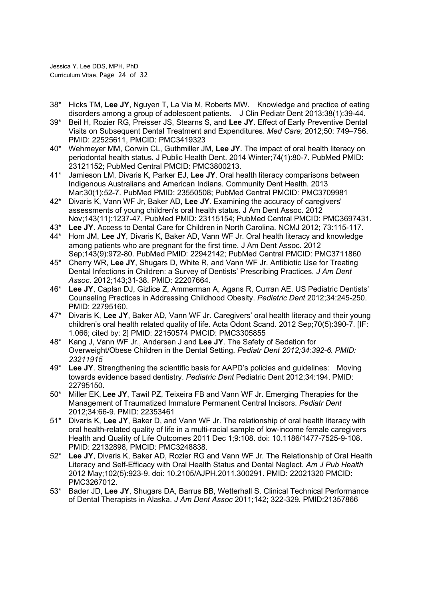Jessica Y. Lee DDS, MPH, PhD Curriculum Vitae, Page 24 of 32

- 38\* Hicks TM, Lee JY, Nguyen T, La Via M, Roberts MW. Knowledge and practice of eating disorders among a group of adolescent patients. J Clin Pediatr Dent 2013:38(1):39-44.
- 39<sup>\*</sup> Beil H, Rozier RG, Preisser JS, Stearns S, and Lee JY, Effect of Early Preventive Dental Visits on Subsequent Dental Treatment and Expenditures. Med Care; 2012;50: 749–756. PMID: 22525611, PMCID: PMC3419323
- 40\* Wehmeyer MM, Corwin CL, Guthmiller JM, Lee JY. The impact of oral health literacy on periodontal health status. J Public Health Dent. 2014 Winter;74(1):80-7. PubMed PMID: 23121152; PubMed Central PMCID: PMC3800213.
- 41\* Jamieson LM, Divaris K, Parker EJ, Lee JY. Oral health literacy comparisons between Indigenous Australians and American Indians. Community Dent Health. 2013 Mar;30(1):52-7. PubMed PMID: 23550508; PubMed Central PMCID: PMC3709981
- $42^*$  Divaris K, Vann WF Jr, Baker AD, Lee JY. Examining the accuracy of caregivers' assessments of young children's oral health status. J Am Dent Assoc. 2012 Nov;143(11):1237-47. PubMed PMID: 23115154; PubMed Central PMCID: PMC3697431.
- 43\* Lee JY. Access to Dental Care for Children in North Carolina. NCMJ 2012; 73:115-117.
- 44\* Hom JM, Lee JY, Divaris K, Baker AD, Vann WF Jr. Oral health literacy and knowledge among patients who are pregnant for the first time. J Am Dent Assoc. 2012 Sep;143(9):972-80. PubMed PMID: 22942142; PubMed Central PMCID: PMC3711860
- 45\* Cherry WR, Lee JY, Shugars D, White R, and Vann WF Jr. Antibiotic Use for Treating Dental Infections in Children: a Survey of Dentists' Prescribing Practices. J Am Dent Assoc. 2012;143;31-38. PMID: 22207664.
- 46\* Lee JY, Caplan DJ, Gizlice Z, Ammerman A, Agans R, Curran AE. US Pediatric Dentists' Counseling Practices in Addressing Childhood Obesity. Pediatric Dent 2012;34:245-250. PMID: 22795160.
- 47\* Divaris K, Lee JY, Baker AD, Vann WF Jr. Caregivers' oral health literacy and their young children's oral health related quality of life. Acta Odont Scand. 2012 Sep;70(5):390-7. [IF: 1.066; cited by: 2] PMID: 22150574 PMCID: PMC3305855
- 48\* Kang J, Vann WF Jr., Andersen J and Lee JY. The Safety of Sedation for Overweight/Obese Children in the Dental Setting. Pediatr Dent 2012;34:392-6. PMID: 23211915
- $49*$  Lee JY. Strengthening the scientific basis for AAPD's policies and quidelines: Moving towards evidence based dentistry. Pediatric Dent Pediatric Dent 2012;34:194. PMID: 22795150.
- 50\* Miller EK, Lee JY, Tawil PZ, Teixeira FB and Vann WF Jr. Emerging Therapies for the Management of Traumatized Immature Permanent Central Incisors. Pediatr Dent 2012;34:66-9. PMID: 22353461
- 51\* Divaris K, Lee JY, Baker D, and Vann WF Jr. The relationship of oral health literacy with oral health-related quality of life in a multi-racial sample of low-income female caregivers Health and Quality of Life Outcomes 2011 Dec 1;9:108. doi: 10.1186/1477-7525-9-108. PMID: 22132898, PMCID: PMC3248838.
- 52\* Lee JY, Divaris K, Baker AD, Rozier RG and Vann WF Jr. The Relationship of Oral Health Literacy and Self-Efficacy with Oral Health Status and Dental Neglect. Am J Pub Health 2012 May;102(5):923-9. doi: 10.2105/AJPH.2011.300291. PMID: 22021320 PMCID: PMC3267012.
- 53\* Bader JD, Lee JY, Shugars DA, Barrus BB, Wetterhall S. Clinical Technical Performance of Dental Therapists in Alaska. J Am Dent Assoc 2011;142; 322-329. PMID:21357866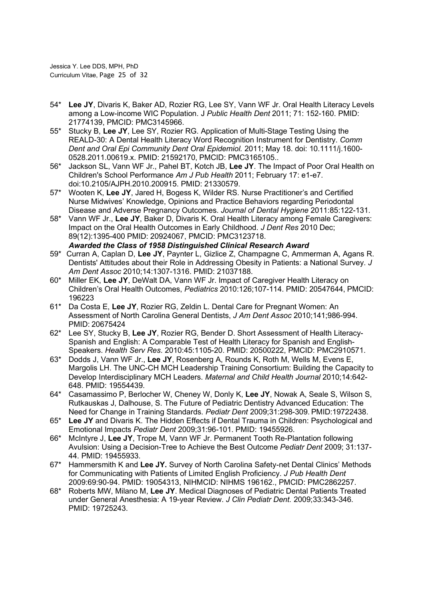Jessica Y. Lee DDS, MPH, PhD Curriculum Vitae, Page 25 of 32

- 54\* Lee JY, Divaris K, Baker AD, Rozier RG, Lee SY, Vann WF Jr. Oral Health Literacy Levels among a Low-income WIC Population. J Public Health Dent 2011; 71: 152-160. PMID: 21774139, PMCID: PMC3145966.
- 55\* Stucky B, Lee JY, Lee SY, Rozier RG. Application of Multi-Stage Testing Using the REALD-30: A Dental Health Literacy Word Recognition Instrument for Dentistry. Comm Dent and Oral Epi Community Dent Oral Epidemiol. 2011; May 18. doi: 10.1111/j.1600- 0528.2011.00619.x. PMID: 21592170, PMCID: PMC3165105..
- 56\* Jackson SL, Vann WF Jr., Pahel BT, Kotch JB, Lee JY. The Impact of Poor Oral Health on Children's School Performance Am J Pub Health 2011; February 17: e1-e7. doi:10.2105/AJPH.2010.200915. PMID: 21330579.
- 57\* Wooten K, Lee JY, Jared H, Bogess K, Wilder RS. Nurse Practitioner's and Certified Nurse Midwives' Knowledge, Opinions and Practice Behaviors regarding Periodontal Disease and Adverse Pregnancy Outcomes. Journal of Dental Hygiene 2011:85:122-131.
- 58\* Vann WF Jr., Lee JY, Baker D, Divaris K. Oral Health Literacy among Female Caregivers: Impact on the Oral Health Outcomes in Early Childhood. J Dent Res 2010 Dec; 89(12):1395-400 PMID: 20924067, PMCID: PMC3123718. Awarded the Class of 1958 Distinguished Clinical Research Award
- 59\* Curran A, Caplan D, Lee JY, Paynter L, Gizlice Z, Champagne C, Ammerman A, Agans R. Dentists' Attitudes about their Role in Addressing Obesity in Patients: a National Survey. J Am Dent Assoc 2010;14:1307-1316. PMID: 21037188.
- 60\* Miller EK, Lee JY, DeWalt DA, Vann WF Jr. Impact of Caregiver Health Literacy on Children's Oral Health Outcomes, Pediatrics 2010:126;107-114. PMID: 20547644, PMCID: 196223
- 61\* Da Costa E, Lee JY, Rozier RG, Zeldin L. Dental Care for Pregnant Women: An Assessment of North Carolina General Dentists, J Am Dent Assoc 2010;141;986-994. PMID: 20675424
- 62\* Lee SY, Stucky B, Lee JY, Rozier RG, Bender D. Short Assessment of Health Literacy-Spanish and English: A Comparable Test of Health Literacy for Spanish and English-Speakers. Health Serv Res. 2010:45:1105-20. PMID: 20500222, PMCID: PMC2910571.
- 63\* Dodds J, Vann WF Jr., Lee JY, Rosenberg A, Rounds K, Roth M, Wells M, Evens E, Margolis LH. The UNC-CH MCH Leadership Training Consortium: Building the Capacity to Develop Interdisciplinary MCH Leaders. Maternal and Child Health Journal 2010;14:642- 648. PMID: 19554439.
- 64\* Casamassimo P, Berlocher W, Cheney W, Donly K, Lee JY, Nowak A, Seale S, Wilson S, Rutkauskas J, Dalhouse, S. The Future of Pediatric Dentistry Advanced Education: The Need for Change in Training Standards. Pediatr Dent 2009;31:298-309. PMID:19722438.
- 65\* Lee JY and Divaris K. The Hidden Effects if Dental Trauma in Children: Psychological and Emotional Impacts Pediatr Dent 2009;31:96-101. PMID: 19455926.
- 66\* McIntyre J, Lee JY, Trope M, Vann WF Jr. Permanent Tooth Re-Plantation following Avulsion: Using a Decision-Tree to Achieve the Best Outcome Pediatr Dent 2009; 31:137- 44. PMID: 19455933.
- 67\* Hammersmith K and Lee JY. Survey of North Carolina Safety-net Dental Clinics' Methods for Communicating with Patients of Limited English Proficiency. J Pub Health Dent 2009:69:90-94. PMID: 19054313, NIHMCID: NIHMS 196162., PMCID: PMC2862257.
- 68\* Roberts MW, Milano M, Lee JY. Medical Diagnoses of Pediatric Dental Patients Treated under General Anesthesia: A 19-year Review. J Clin Pediatr Dent. 2009;33:343-346. PMID: 19725243.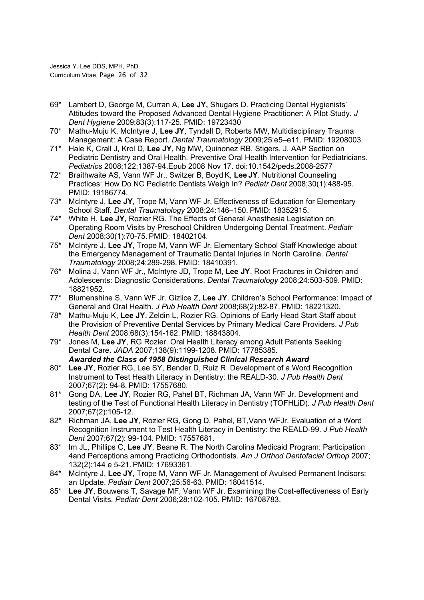Jessica Y. Lee DDS, MPH, PhD Curriculum Vitae, Page 26 of 32

- 69\* Lambert D, George M, Curran A, Lee JY, Shugars D. Practicing Dental Hygienists' Attitudes toward the Proposed Advanced Dental Hygiene Practitioner: A Pilot Study. J Dent Hygiene 2009;83(3):117-25. PMID: 19723430
- 70\* Mathu-Muju K, McIntyre J, Lee JY, Tyndall D, Roberts MW, Multidisciplinary Trauma Management: A Case Report. Dental Traumatology 2009;25:e5–e11. PMID: 19208003.
- 71\* Hale K, Crall J, Krol D, Lee JY, Ng MW, Quinonez RB, Stigers, J. AAP Section on Pediatric Dentistry and Oral Health. Preventive Oral Health Intervention for Pediatricians. Pediatrics 2008;122;1387-94.Epub 2008 Nov 17. doi:10.1542/peds.2008-2577
- 72\* Braithwaite AS, Vann WF Jr., Switzer B, Boyd K, Lee JY. Nutritional Counseling Practices: How Do NC Pediatric Dentists Weigh In? Pediatr Dent 2008;30(1):488-95. PMID: 19186774.
- 73\* McIntyre J, Lee JY, Trope M, Vann WF Jr. Effectiveness of Education for Elementary School Staff. Dental Traumatology 2008;24:146–150. PMID: 18352915.
- 74\* White H, Lee JY, Rozier RG. The Effects of General Anesthesia Legislation on Operating Room Visits by Preschool Children Undergoing Dental Treatment. Pediatr Dent 2008;30(1):70-75. PMID: 18402104.
- 75\* McIntyre J, Lee JY, Trope M, Vann WF Jr. Elementary School Staff Knowledge about the Emergency Management of Traumatic Dental Injuries in North Carolina. Dental Traumatology 2008;24:289-298. PMID: 18410391.
- 76\* Molina J, Vann WF Jr., McIntyre JD, Trope M, Lee JY. Root Fractures in Children and Adolescents: Diagnostic Considerations. Dental Traumatology 2008;24:503-509. PMID: 18821952.
- 77\* Blumenshine S, Vann WF Jr. Gizlice Z, Lee JY. Children's School Performance: Impact of General and Oral Health. J Pub Health Dent 2008;68(2):82-87. PMID: 18221320.
- 78\* Mathu-Muju K, Lee JY, Zeldin L, Rozier RG. Opinions of Early Head Start Staff about the Provision of Preventive Dental Services by Primary Medical Care Providers. J Pub Health Dent 2008:68(3):154-162. PMID: 18843804.
- 79\* Jones M, Lee JY, RG Rozier. Oral Health Literacy among Adult Patients Seeking Dental Care. JADA 2007;138(9):1199-1208. PMID: 17785385. Awarded the Class of 1958 Distinguished Clinical Research Award
- 80\* Lee JY, Rozier RG, Lee SY, Bender D, Ruiz R. Development of a Word Recognition Instrument to Test Health Literacy in Dentistry: the REALD-30. J Pub Health Dent 2007;67(2): 94-8. PMID: 17557680.
- 81\* Gong DA, Lee JY, Rozier RG, Pahel BT, Richman JA, Vann WF Jr. Development and testing of the Test of Functional Health Literacy in Dentistry (TOFHLiD). J Pub Health Dent 2007;67(2):105-12.
- 82\* Richman JA, Lee JY, Rozier RG, Gong D, Pahel, BT, Vann WFJr. Evaluation of a Word Recognition Instrument to Test Health Literacy in Dentistry: the REALD-99. J Pub Health Dent 2007;67(2): 99-104. PMID: 17557681.
- 83\* Im JL, Phillips C, Lee JY, Beane R. The North Carolina Medicaid Program: Participation 4and Perceptions among Practicing Orthodontists. Am J Orthod Dentofacial Orthop 2007; 132(2):144 e 5-21. PMID: 17693361.
- 84\* McIntyre J, Lee JY, Trope M, Vann WF Jr. Management of Avulsed Permanent Incisors: an Update. Pediatr Dent 2007;25:56-63. PMID: 18041514.
- 85\* Lee JY, Bouwens T, Savage MF, Vann WF Jr. Examining the Cost-effectiveness of Early Dental Visits. Pediatr Dent 2006;28:102-105. PMID: 16708783.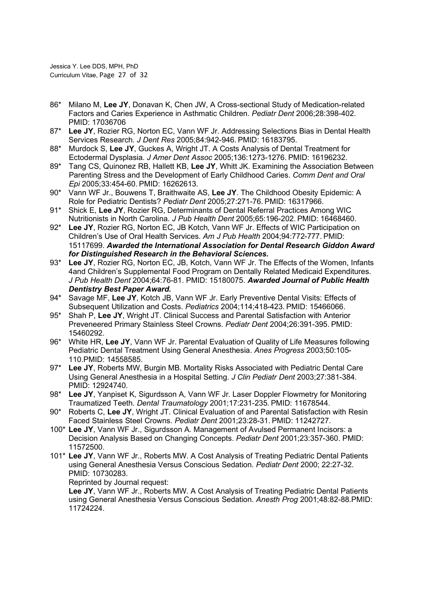Jessica Y. Lee DDS, MPH, PhD Curriculum Vitae, Page 27 of 32

- 86\* Milano M, Lee JY, Donavan K, Chen JW, A Cross-sectional Study of Medication-related Factors and Caries Experience in Asthmatic Children. Pediatr Dent 2006;28:398-402. PMID: 17036706
- 87\* Lee JY, Rozier RG, Norton EC, Vann WF Jr, Addressing Selections Bias in Dental Health Services Research. J Dent Res 2005;84:942-946. PMID: 16183795.
- 88\* Murdock S, Lee JY, Guckes A, Wright JT. A Costs Analysis of Dental Treatment for Ectodermal Dysplasia. J Amer Dent Assoc 2005;136:1273-1276. PMID: 16196232.
- 89\* Tang CS, Quinonez RB, Hallett KB, Lee JY, Whitt JK. Examining the Association Between Parenting Stress and the Development of Early Childhood Caries. Comm Dent and Oral Epi 2005;33:454-60. PMID: 16262613.
- 90\* Vann WF Jr., Bouwens T, Braithwaite AS, Lee JY. The Childhood Obesity Epidemic: A Role for Pediatric Dentists? Pediatr Dent 2005;27:271-76. PMID: 16317966.
- 91\* Shick E, Lee JY, Rozier RG, Determinants of Dental Referral Practices Among WIC Nutritionists in North Carolina. J Pub Health Dent 2005;65:196-202. PMID: 16468460.
- 92\* Lee JY, Rozier RG, Norton EC, JB Kotch, Vann WF Jr. Effects of WIC Participation on Children's Use of Oral Health Services. Am J Pub Health 2004;94:772-777. PMID: 15117699. Awarded the International Association for Dental Research Giddon Award for Distinguished Research in the Behavioral Sciences.
- 93\* Lee JY, Rozier RG, Norton EC, JB, Kotch, Vann WF Jr. The Effects of the Women, Infants 4and Children's Supplemental Food Program on Dentally Related Medicaid Expenditures. J Pub Health Dent 2004;64:76-81. PMID: 15180075. Awarded Journal of Public Health Dentistry Best Paper Award.
- 94\* Savage MF, Lee JY, Kotch JB, Vann WF Jr. Early Preventive Dental Visits: Effects of Subsequent Utilization and Costs. Pediatrics 2004;114;418-423. PMID: 15466066.
- 95\* Shah P, Lee JY, Wright JT. Clinical Success and Parental Satisfaction with Anterior Preveneered Primary Stainless Steel Crowns. Pediatr Dent 2004;26:391-395. PMID: 15460292.
- 96\* White HR, Lee JY, Vann WF Jr. Parental Evaluation of Quality of Life Measures following Pediatric Dental Treatment Using General Anesthesia. Anes Progress 2003;50:105- 110.PMID: 14558585.
- 97\* Lee JY, Roberts MW, Burgin MB. Mortality Risks Associated with Pediatric Dental Care Using General Anesthesia in a Hospital Setting. J Clin Pediatr Dent 2003;27:381-384. PMID: 12924740.
- 98\* Lee JY, Yanpiset K, Sigurdsson A, Vann WF Jr. Laser Doppler Flowmetry for Monitoring Traumatized Teeth. Dental Traumatology 2001;17:231-235. PMID: 11678544.
- 90\* Roberts C, Lee JY, Wright JT. Clinical Evaluation of and Parental Satisfaction with Resin Faced Stainless Steel Crowns. Pediatr Dent 2001;23:28-31. PMID: 11242727.
- 100\* Lee JY, Vann WF Jr., Sigurdsson A. Management of Avulsed Permanent Incisors: a Decision Analysis Based on Changing Concepts. Pediatr Dent 2001;23:357-360. PMID: 11572500.
- 101\* Lee JY, Vann WF Jr., Roberts MW. A Cost Analysis of Treating Pediatric Dental Patients using General Anesthesia Versus Conscious Sedation. Pediatr Dent 2000; 22:27-32. PMID: 10730283.

Reprinted by Journal request:

 Lee JY, Vann WF Jr., Roberts MW. A Cost Analysis of Treating Pediatric Dental Patients using General Anesthesia Versus Conscious Sedation. Anesth Prog 2001;48:82-88.PMID: 11724224.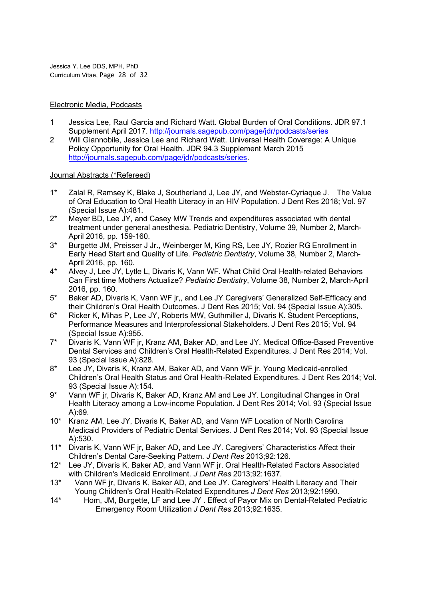Jessica Y. Lee DDS, MPH, PhD Curriculum Vitae, Page 28 of 32

### Electronic Media, Podcasts

- 1 Jessica Lee, Raul Garcia and Richard Watt. Global Burden of Oral Conditions. JDR 97.1 Supplement April 2017. http://journals.sagepub.com/page/jdr/podcasts/series
- 2 Will Giannobile, Jessica Lee and Richard Watt. Universal Health Coverage: A Unique Policy Opportunity for Oral Health. JDR 94.3 Supplement March 2015 http://journals.sagepub.com/page/jdr/podcasts/series.

### Journal Abstracts (\*Refereed)

- 1\* Zalal R, Ramsey K, Blake J, Southerland J, Lee JY, and Webster-Cyriaque J. The Value of Oral Education to Oral Health Literacy in an HIV Population. J Dent Res 2018; Vol. 97 (Special Issue A):481.
- 2\* Meyer BD, Lee JY, and Casey MW Trends and expenditures associated with dental treatment under general anesthesia. Pediatric Dentistry, Volume 39, Number 2, March-April 2016, pp. 159-160.
- 3\* Burgette JM, Preisser J Jr., Weinberger M, King RS, Lee JY, Rozier RG Enrollment in Early Head Start and Quality of Life. Pediatric Dentistry, Volume 38, Number 2, March-April 2016, pp. 160.
- 4\* Alvey J, Lee JY, Lytle L, Divaris K, Vann WF. What Child Oral Health-related Behaviors Can First time Mothers Actualize? Pediatric Dentistry, Volume 38, Number 2, March-April 2016, pp. 160.
- 5\* Baker AD, Divaris K, Vann WF jr,, and Lee JY Caregivers' Generalized Self-Efficacy and their Children's Oral Health Outcomes. J Dent Res 2015; Vol. 94 (Special Issue A):305.
- 6\* Ricker K, Mihas P, Lee JY, Roberts MW, Guthmiller J, Divaris K. Student Perceptions, Performance Measures and Interprofessional Stakeholders. J Dent Res 2015; Vol. 94 (Special Issue A):955.
- 7\* Divaris K, Vann WF jr, Kranz AM, Baker AD, and Lee JY. Medical Office-Based Preventive Dental Services and Children's Oral Health-Related Expenditures. J Dent Res 2014; Vol. 93 (Special Issue A):828.
- 8\* Lee JY, Divaris K, Kranz AM, Baker AD, and Vann WF jr. Young Medicaid-enrolled Children's Oral Health Status and Oral Health-Related Expenditures. J Dent Res 2014; Vol. 93 (Special Issue A):154.
- 9\* Vann WF jr, Divaris K, Baker AD, Kranz AM and Lee JY. Longitudinal Changes in Oral Health Literacy among a Low-income Population. J Dent Res 2014; Vol. 93 (Special Issue A):69.
- 10\* Kranz AM, Lee JY, Divaris K, Baker AD, and Vann WF Location of North Carolina Medicaid Providers of Pediatric Dental Services. J Dent Res 2014; Vol. 93 (Special Issue A):530.
- 11\* Divaris K, Vann WF jr, Baker AD, and Lee JY. Caregivers' Characteristics Affect their Children's Dental Care-Seeking Pattern. J Dent Res 2013;92:126.
- 12\* Lee JY, Divaris K, Baker AD, and Vann WF jr. Oral Health-Related Factors Associated with Children's Medicaid Enrollment. J Dent Res 2013;92:1637.
- 13\* Vann WF jr, Divaris K, Baker AD, and Lee JY. Caregivers' Health Literacy and Their Young Children's Oral Health-Related Expenditures J Dent Res 2013;92:1990.
- 14\* Hom, JM, Burgette, LF and Lee JY . Effect of Payor Mix on Dental-Related Pediatric Emergency Room Utilization J Dent Res 2013;92:1635.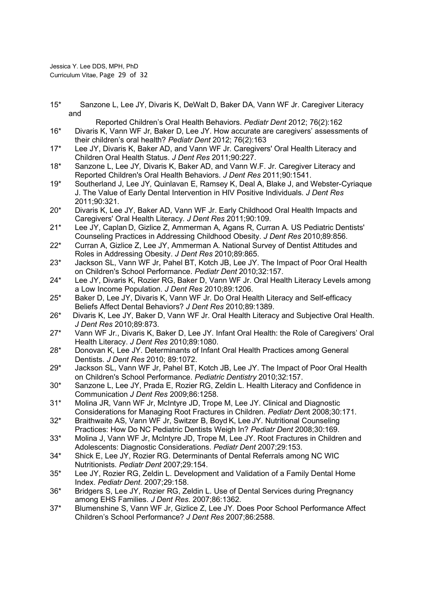Jessica Y. Lee DDS, MPH, PhD Curriculum Vitae, Page 29 of 32

15\* Sanzone L, Lee JY, Divaris K, DeWalt D, Baker DA, Vann WF Jr. Caregiver Literacy and

- Reported Children's Oral Health Behaviors. Pediatr Dent 2012; 76(2):162 16\* Divaris K, Vann WF Jr, Baker D, Lee JY. How accurate are caregivers' assessments of their children's oral health? Pediatr Dent 2012; 76(2):163
- 17\* Lee JY, Divaris K, Baker AD, and Vann WF Jr. Caregivers' Oral Health Literacy and Children Oral Health Status. J Dent Res 2011;90:227.
- 18\* Sanzone L, Lee JY, Divaris K, Baker AD, and Vann W.F. Jr. Caregiver Literacy and Reported Children's Oral Health Behaviors. J Dent Res 2011;90:1541.
- 19\* Southerland J, Lee JY, Quinlavan E, Ramsey K, Deal A, Blake J, and Webster-Cyriaque J. The Value of Early Dental Intervention in HIV Positive Individuals. J Dent Res 2011;90:321.
- 20\* Divaris K, Lee JY, Baker AD, Vann WF Jr. Early Childhood Oral Health Impacts and Caregivers' Oral Health Literacy. J Dent Res 2011;90:109.
- 21\* Lee JY, Caplan D, Gizlice Z, Ammerman A, Agans R, Curran A. US Pediatric Dentists' Counseling Practices in Addressing Childhood Obesity. J Dent Res 2010;89:856.
- 22\* Curran A, Gizlice Z, Lee JY, Ammerman A. National Survey of Dentist Attitudes and Roles in Addressing Obesity. J Dent Res 2010;89:865.
- 23<sup>\*</sup> Jackson SL, Vann WF Jr, Pahel BT, Kotch JB, Lee JY. The Impact of Poor Oral Health on Children's School Performance. Pediatr Dent 2010;32:157.
- 24\* Lee JY, Divaris K, Rozier RG, Baker D, Vann WF Jr. Oral Health Literacy Levels among a Low Income Population. J Dent Res 2010;89:1206.
- 25\* Baker D, Lee JY, Divaris K, Vann WF Jr. Do Oral Health Literacy and Self-efficacy Beliefs Affect Dental Behaviors? J Dent Res 2010;89:1389.
- 26\* Divaris K, Lee JY, Baker D, Vann WF Jr. Oral Health Literacy and Subjective Oral Health. J Dent Res 2010;89:873.
- 27\* Vann WF Jr., Divaris K, Baker D, Lee JY. Infant Oral Health: the Role of Caregivers' Oral Health Literacy. J Dent Res 2010;89:1080.
- 28\* Donovan K, Lee JY. Determinants of Infant Oral Health Practices among General Dentists. J Dent Res 2010; 89:1072.
- 29\* Jackson SL, Vann WF Jr, Pahel BT, Kotch JB, Lee JY. The Impact of Poor Oral Health on Children's School Performance. Pediatric Dentistry 2010;32:157.
- 30\* Sanzone L, Lee JY, Prada E, Rozier RG, Zeldin L. Health Literacy and Confidence in Communication J Dent Res 2009;86:1258.
- 31\* Molina JR, Vann WF Jr, McIntyre JD, Trope M, Lee JY. Clinical and Diagnostic Considerations for Managing Root Fractures in Children. Pediatr Dent 2008;30:171.
- 32\* Braithwaite AS, Vann WF Jr, Switzer B, Boyd K, Lee JY. Nutritional Counseling Practices: How Do NC Pediatric Dentists Weigh In? Pediatr Dent 2008;30:169.
- 33\* Molina J, Vann WF Jr, McIntyre JD, Trope M, Lee JY. Root Fractures in Children and Adolescents: Diagnostic Considerations. Pediatr Dent 2007;29:153.
- 34\* Shick E, Lee JY, Rozier RG. Determinants of Dental Referrals among NC WIC Nutritionists. Pediatr Dent 2007;29:154.
- 35\* Lee JY, Rozier RG, Zeldin L. Development and Validation of a Family Dental Home Index. Pediatr Dent. 2007;29:158.
- 36\* Bridgers S, Lee JY, Rozier RG, Zeldin L. Use of Dental Services during Pregnancy among EHS Families. J Dent Res. 2007;86:1362.
- 37\* Blumenshine S, Vann WF Jr, Gizlice Z, Lee JY. Does Poor School Performance Affect Children's School Performance? J Dent Res 2007;86:2588.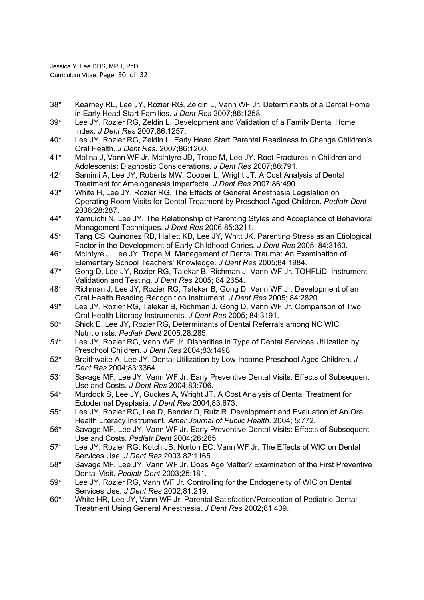Jessica Y. Lee DDS, MPH, PhD Curriculum Vitae, Page 30 of 32

- 38\* Kearney RL, Lee JY, Rozier RG, Zeldin L, Vann WF Jr. Determinants of a Dental Home in Early Head Start Families. J Dent Res 2007;86:1258.
- 39\* Lee JY, Rozier RG, Zeldin L. Development and Validation of a Family Dental Home Index. J Dent Res 2007;86:1257.
- 40\* Lee JY, Rozier RG, Zeldin L. Early Head Start Parental Readiness to Change Children's Oral Health. J Dent Res. 2007;86:1260.
- 41\* Molina J, Vann WF Jr, McIntyre JD, Trope M, Lee JY. Root Fractures in Children and Adolescents: Diagnostic Considerations. J Dent Res 2007;86:791.
- 42\* Samimi A, Lee JY, Roberts MW, Cooper L, Wright JT. A Cost Analysis of Dental Treatment for Amelogenesis Imperfecta. J Dent Res 2007;86:490.
- 43\* White H, Lee JY, Rozier RG. The Effects of General Anesthesia Legislation on Operating Room Visits for Dental Treatment by Preschool Aged Children. Pediatr Dent 2006;28:287.
- 44\* Yamuichi N, Lee JY. The Relationship of Parenting Styles and Acceptance of Behavioral Management Techniques. J Dent Res 2006;85:3211.
- 45\* Tang CS, Quinonez RB, Hallett KB, Lee JY, Whitt JK. Parenting Stress as an Etiological Factor in the Development of Early Childhood Caries. J Dent Res 2005; 84:3160.
- 46\* McIntyre J, Lee JY, Trope M. Management of Dental Trauma: An Examination of Elementary School Teachers' Knowledge. J Dent Res 2005;84:1984.
- 47\* Gong D, Lee JY, Rozier RG, Talekar B, Richman J, Vann WF Jr. TOHFLiD: Instrument Validation and Testing. J Dent Res 2005; 84:2654.
- 48\* Richman J, Lee JY, Rozier RG, Talekar B, Gong D, Vann WF Jr. Development of an Oral Health Reading Recognition Instrument. J Dent Res 2005; 84:2820.
- 49\* Lee JY, Rozier RG, Talekar B, Richman J, Gong D, Vann WF Jr. Comparison of Two Oral Health Literacy Instruments. J Dent Res 2005; 84:3191.
- 50\* Shick E, Lee JY, Rozier RG, Determinants of Dental Referrals among NC WIC Nutritionists. Pediatr Dent 2005;28:285.
- 51\* Lee JY, Rozier RG, Vann WF Jr. Disparities in Type of Dental Services Utilization by Preschool Children. J Dent Res 2004;83:1498.
- 52\* Braithwaite A, Lee JY. Dental Utilization by Low-Income Preschool Aged Children. J Dent Res 2004;83:3364.
- 53\* Savage MF, Lee JY, Vann WF Jr. Early Preventive Dental Visits: Effects of Subsequent Use and Costs. J Dent Res 2004;83:706.
- 54\* Murdock S, Lee JY, Guckes A, Wright JT. A Cost Analysis of Dental Treatment for Ectodermal Dysplasia. J Dent Res 2004;83:673.
- 55\* Lee JY, Rozier RG, Lee D, Bender D, Ruiz R. Development and Evaluation of An Oral Health Literacy Instrument. Amer Journal of Public Health. 2004; 5:772.
- 56\* Savage MF, Lee JY, Vann WF Jr. Early Preventive Dental Visits: Effects of Subsequent Use and Costs. Pediatr Dent 2004;26:285.
- 57\* Lee JY, Rozier RG, Kotch JB, Norton EC, Vann WF Jr. The Effects of WIC on Dental Services Use. J Dent Res 2003 82:1165.
- 58\* Savage MF, Lee JY, Vann WF Jr. Does Age Matter? Examination of the First Preventive Dental Visit. Pediatr Dent 2003;25:181.
- 59\* Lee JY, Rozier RG, Vann WF Jr. Controlling for the Endogeneity of WIC on Dental Services Use. J Dent Res 2002;81:219.
- 60\* White HR, Lee JY, Vann WF Jr. Parental Satisfaction/Perception of Pediatric Dental Treatment Using General Anesthesia. J Dent Res 2002;81:409.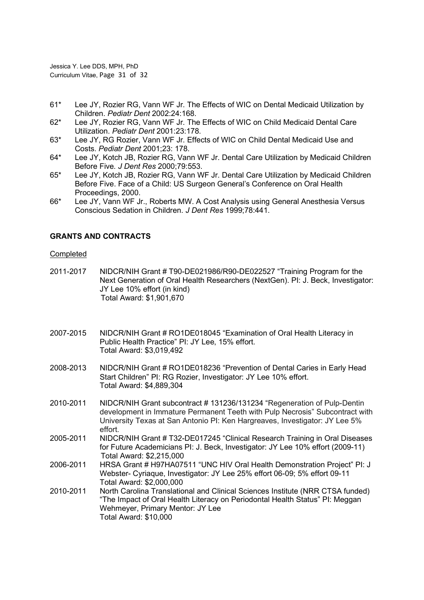Jessica Y. Lee DDS, MPH, PhD Curriculum Vitae, Page 31 of 32

- 61\* Lee JY, Rozier RG, Vann WF Jr. The Effects of WIC on Dental Medicaid Utilization by Children. Pediatr Dent 2002:24:168.
- 62\* Lee JY, Rozier RG, Vann WF Jr. The Effects of WIC on Child Medicaid Dental Care Utilization. Pediatr Dent 2001:23:178.
- 63\* Lee JY, RG Rozier, Vann WF Jr. Effects of WIC on Child Dental Medicaid Use and Costs. Pediatr Dent 2001;23: 178.
- 64\* Lee JY, Kotch JB, Rozier RG, Vann WF Jr. Dental Care Utilization by Medicaid Children Before Five. J Dent Res 2000;79:553.
- 65\* Lee JY, Kotch JB, Rozier RG, Vann WF Jr. Dental Care Utilization by Medicaid Children Before Five. Face of a Child: US Surgeon General's Conference on Oral Health Proceedings, 2000.
- 66\* Lee JY, Vann WF Jr., Roberts MW. A Cost Analysis using General Anesthesia Versus Conscious Sedation in Children. J Dent Res 1999;78:441.

### GRANTS AND CONTRACTS

### Completed

2011-2017 NIDCR/NIH Grant # T90-DE021986/R90-DE022527 "Training Program for the Next Generation of Oral Health Researchers (NextGen). PI: J. Beck, Investigator: JY Lee 10% effort (in kind) Total Award: \$1,901,670

- 2007-2015 NIDCR/NIH Grant # RO1DE018045 "Examination of Oral Health Literacy in Public Health Practice" PI: JY Lee, 15% effort. Total Award: \$3,019,492
- 2008-2013 NIDCR/NIH Grant # RO1DE018236 "Prevention of Dental Caries in Early Head Start Children" PI: RG Rozier, Investigator: JY Lee 10% effort. Total Award: \$4,889,304
- 2010-2011 NIDCR/NIH Grant subcontract # 131236/131234 "Regeneration of Pulp-Dentin development in Immature Permanent Teeth with Pulp Necrosis" Subcontract with University Texas at San Antonio PI: Ken Hargreaves, Investigator: JY Lee 5% effort.
- 2005-2011 NIDCR/NIH Grant # T32-DE017245 "Clinical Research Training in Oral Diseases for Future Academicians PI: J. Beck, Investigator: JY Lee 10% effort (2009-11) Total Award: \$2,215,000
- 2006-2011 HRSA Grant # H97HA07511 "UNC HIV Oral Health Demonstration Project" PI: J Webster- Cyriaque, Investigator: JY Lee 25% effort 06-09; 5% effort 09-11 Total Award: \$2,000,000
- 2010-2011 North Carolina Translational and Clinical Sciences Institute (NRR CTSA funded) "The Impact of Oral Health Literacy on Periodontal Health Status" PI: Meggan Wehmeyer, Primary Mentor: JY Lee Total Award: \$10,000